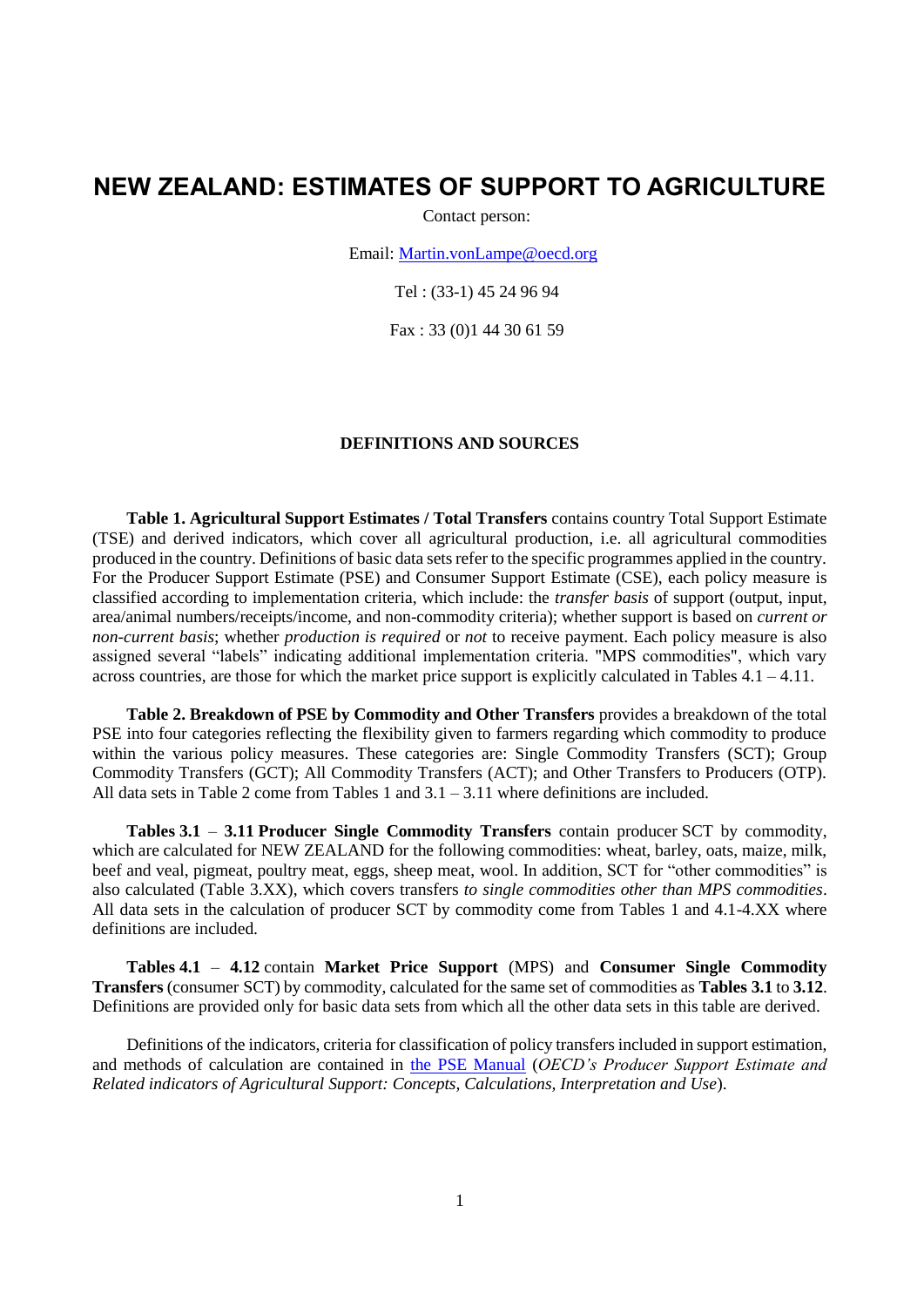# **NEW ZEALAND: ESTIMATES OF SUPPORT TO AGRICULTURE**

Contact person:

Email: [Martin.vonLampe@oecd.org](mailto:Martin.vonLampe@oecd.org)

Tel : (33-1) 45 24 96 94

Fax : 33 (0)1 44 30 61 59

#### **DEFINITIONS AND SOURCES**

**Table 1. Agricultural Support Estimates / Total Transfers** contains country Total Support Estimate (TSE) and derived indicators, which cover all agricultural production, i.e. all agricultural commodities produced in the country. Definitions of basic data sets refer to the specific programmes applied in the country. For the Producer Support Estimate (PSE) and Consumer Support Estimate (CSE), each policy measure is classified according to implementation criteria, which include: the *transfer basis* of support (output, input, area/animal numbers/receipts/income, and non-commodity criteria); whether support is based on *current or non-current basis*; whether *production is required* or *not* to receive payment. Each policy measure is also assigned several "labels" indicating additional implementation criteria. "MPS commodities", which vary across countries, are those for which the market price support is explicitly calculated in Tables  $4.1 - 4.11$ .

**Table 2. Breakdown of PSE by Commodity and Other Transfers** provides a breakdown of the total PSE into four categories reflecting the flexibility given to farmers regarding which commodity to produce within the various policy measures. These categories are: Single Commodity Transfers (SCT); Group Commodity Transfers (GCT); All Commodity Transfers (ACT); and Other Transfers to Producers (OTP). All data sets in Table 2 come from Tables 1 and  $3.1 - 3.11$  where definitions are included.

**Tables 3.1** – **3.11 Producer Single Commodity Transfers** contain producer SCT by commodity, which are calculated for NEW ZEALAND for the following commodities: wheat, barley, oats, maize, milk, beef and veal, pigmeat, poultry meat, eggs, sheep meat, wool. In addition, SCT for "other commodities" is also calculated (Table 3.XX), which covers transfers *to single commodities other than MPS commodities*. All data sets in the calculation of producer SCT by commodity come from Tables 1 and 4.1-4.XX where definitions are included.

**Tables 4.1** – **4.12** contain **Market Price Support** (MPS) and **Consumer Single Commodity Transfers** (consumer SCT) by commodity, calculated for the same set of commodities as **Tables 3.1** to **3.12**. Definitions are provided only for basic data sets from which all the other data sets in this table are derived.

Definitions of the indicators, criteria for classification of policy transfers included in support estimation, and methods of calculation are contained in [the PSE Manual](http://www.oecd.org/tad/agricultural-policies/psemanual.htm) (*OECD's Producer Support Estimate and Related indicators of Agricultural Support: Concepts, Calculations, Interpretation and Use*).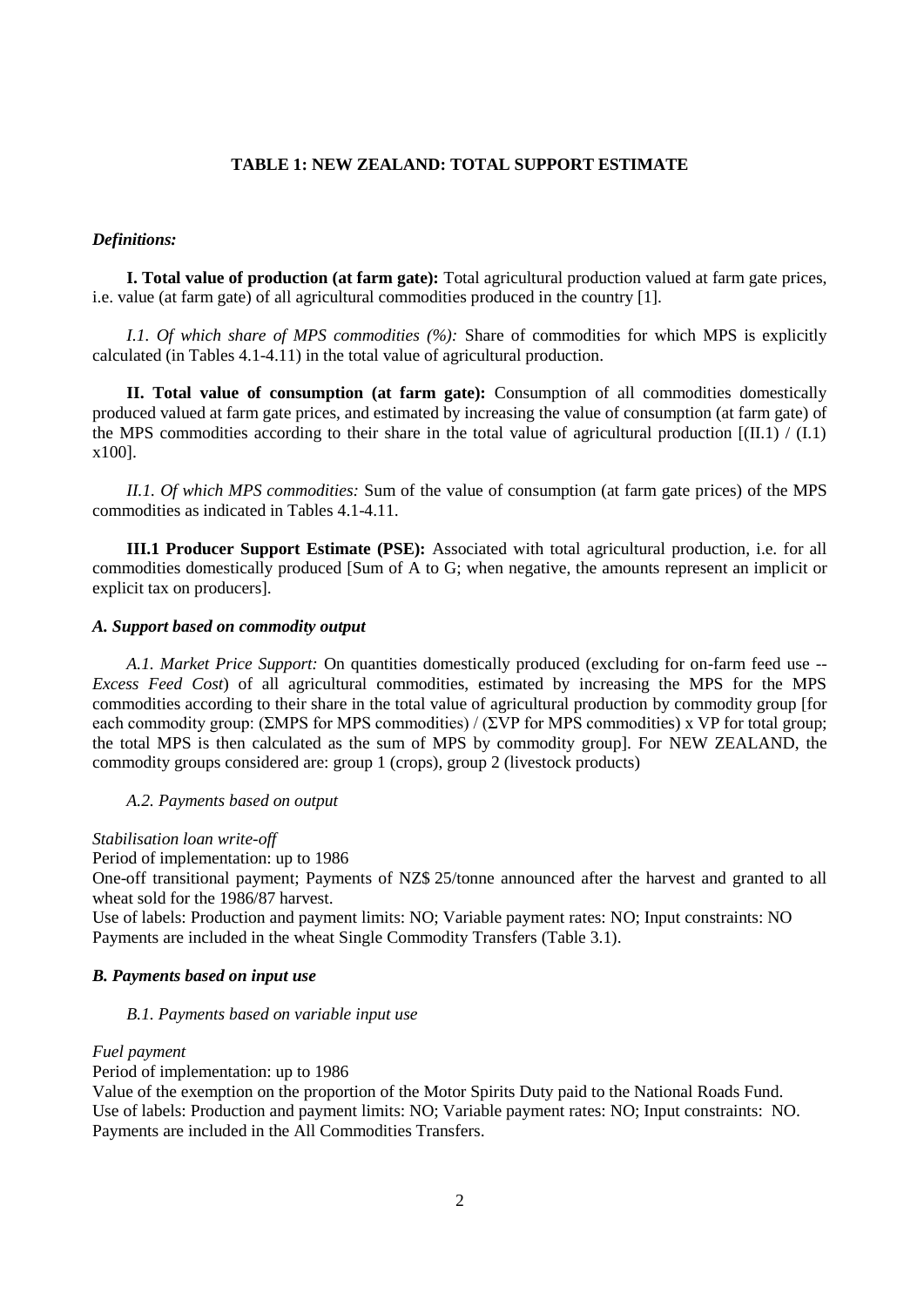### **TABLE 1: NEW ZEALAND: TOTAL SUPPORT ESTIMATE**

#### *Definitions:*

**I. Total value of production (at farm gate):** Total agricultural production valued at farm gate prices, i.e. value (at farm gate) of all agricultural commodities produced in the country [1].

*I.1. Of which share of MPS commodities (%):* Share of commodities for which MPS is explicitly calculated (in Tables 4.1-4.11) in the total value of agricultural production.

**II. Total value of consumption (at farm gate):** Consumption of all commodities domestically produced valued at farm gate prices, and estimated by increasing the value of consumption (at farm gate) of the MPS commodities according to their share in the total value of agricultural production  $[(II.1) / (I.1)]$ x100].

*II.1. Of which MPS commodities:* Sum of the value of consumption (at farm gate prices) of the MPS commodities as indicated in Tables 4.1-4.11.

**III.1 Producer Support Estimate (PSE):** Associated with total agricultural production, i.e. for all commodities domestically produced [Sum of A to G; when negative, the amounts represent an implicit or explicit tax on producers].

#### *A. Support based on commodity output*

*A.1. Market Price Support:* On quantities domestically produced (excluding for on-farm feed use -- *Excess Feed Cost*) of all agricultural commodities, estimated by increasing the MPS for the MPS commodities according to their share in the total value of agricultural production by commodity group [for each commodity group: (ΣMPS for MPS commodities) / (ΣVP for MPS commodities) x VP for total group; the total MPS is then calculated as the sum of MPS by commodity group]. For NEW ZEALAND, the commodity groups considered are: group 1 (crops), group 2 (livestock products)

#### *A.2. Payments based on output*

#### *Stabilisation loan write-off*

Period of implementation: up to 1986

One-off transitional payment; Payments of NZ\$ 25/tonne announced after the harvest and granted to all wheat sold for the 1986/87 harvest.

Use of labels: Production and payment limits: NO; Variable payment rates: NO; Input constraints: NO Payments are included in the wheat Single Commodity Transfers (Table 3.1).

### *B. Payments based on input use*

#### *B.1. Payments based on variable input use*

#### *Fuel payment*

Period of implementation: up to 1986

Value of the exemption on the proportion of the Motor Spirits Duty paid to the National Roads Fund. Use of labels: Production and payment limits: NO; Variable payment rates: NO; Input constraints: NO. Payments are included in the All Commodities Transfers.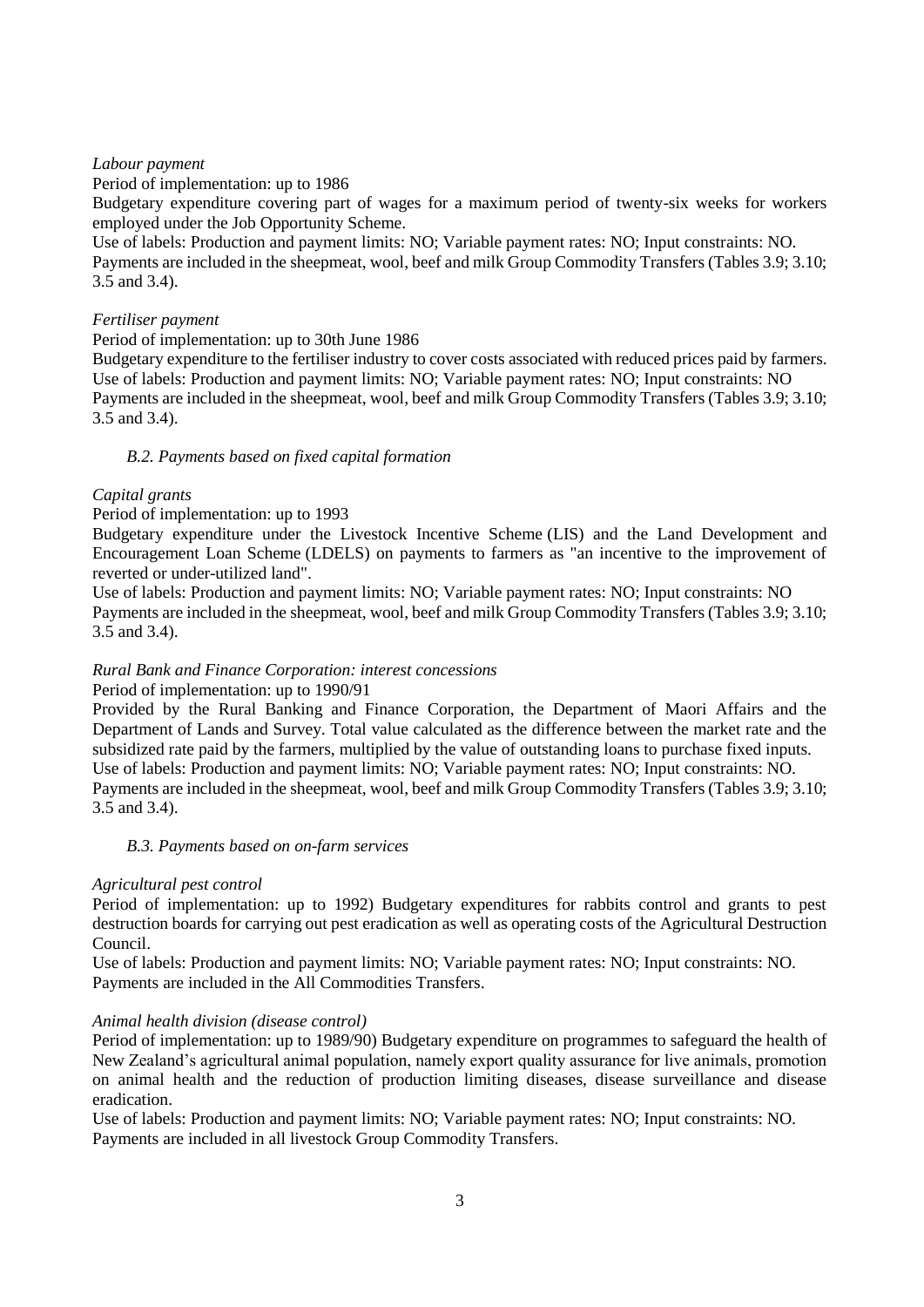## *Labour payment*

Period of implementation: up to 1986

Budgetary expenditure covering part of wages for a maximum period of twenty-six weeks for workers employed under the Job Opportunity Scheme.

Use of labels: Production and payment limits: NO; Variable payment rates: NO; Input constraints: NO. Payments are included in the sheepmeat, wool, beef and milk Group Commodity Transfers (Tables 3.9; 3.10; 3.5 and 3.4).

## *Fertiliser payment*

### Period of implementation: up to 30th June 1986

Budgetary expenditure to the fertiliser industry to cover costs associated with reduced prices paid by farmers. Use of labels: Production and payment limits: NO; Variable payment rates: NO; Input constraints: NO Payments are included in the sheepmeat, wool, beef and milk Group Commodity Transfers (Tables 3.9; 3.10; 3.5 and 3.4).

## *B.2. Payments based on fixed capital formation*

### *Capital grants*

### Period of implementation: up to 1993

Budgetary expenditure under the Livestock Incentive Scheme (LIS) and the Land Development and Encouragement Loan Scheme (LDELS) on payments to farmers as "an incentive to the improvement of reverted or under-utilized land".

Use of labels: Production and payment limits: NO; Variable payment rates: NO; Input constraints: NO Payments are included in the sheepmeat, wool, beef and milk Group Commodity Transfers (Tables 3.9; 3.10; 3.5 and 3.4).

## *Rural Bank and Finance Corporation: interest concessions*

## Period of implementation: up to 1990/91

Provided by the Rural Banking and Finance Corporation, the Department of Maori Affairs and the Department of Lands and Survey. Total value calculated as the difference between the market rate and the subsidized rate paid by the farmers, multiplied by the value of outstanding loans to purchase fixed inputs. Use of labels: Production and payment limits: NO; Variable payment rates: NO; Input constraints: NO. Payments are included in the sheepmeat, wool, beef and milk Group Commodity Transfers (Tables 3.9; 3.10; 3.5 and 3.4).

## *B.3. Payments based on on-farm services*

#### *Agricultural pest control*

Period of implementation: up to 1992) Budgetary expenditures for rabbits control and grants to pest destruction boards for carrying out pest eradication as well as operating costs of the Agricultural Destruction Council.

Use of labels: Production and payment limits: NO; Variable payment rates: NO; Input constraints: NO. Payments are included in the All Commodities Transfers.

## *Animal health division (disease control)*

Period of implementation: up to 1989/90) Budgetary expenditure on programmes to safeguard the health of New Zealand's agricultural animal population, namely export quality assurance for live animals, promotion on animal health and the reduction of production limiting diseases, disease surveillance and disease eradication.

Use of labels: Production and payment limits: NO; Variable payment rates: NO; Input constraints: NO. Payments are included in all livestock Group Commodity Transfers.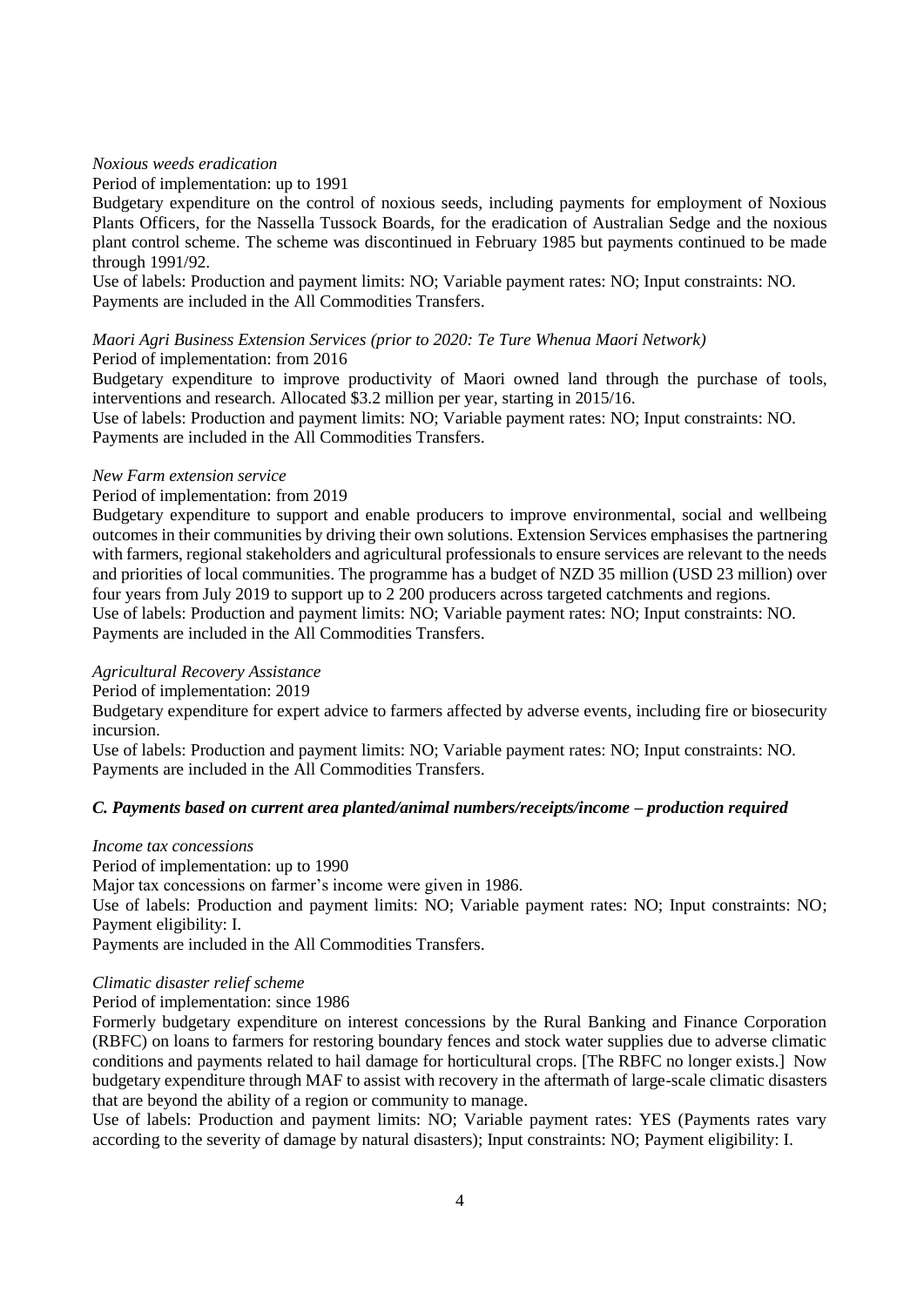## *Noxious weeds eradication*

#### Period of implementation: up to 1991

Budgetary expenditure on the control of noxious seeds, including payments for employment of Noxious Plants Officers, for the Nassella Tussock Boards, for the eradication of Australian Sedge and the noxious plant control scheme. The scheme was discontinued in February 1985 but payments continued to be made through 1991/92.

Use of labels: Production and payment limits: NO; Variable payment rates: NO; Input constraints: NO. Payments are included in the All Commodities Transfers.

#### *Maori Agri Business Extension Services (prior to 2020: Te Ture Whenua Maori Network)* Period of implementation: from 2016

Budgetary expenditure to improve productivity of Maori owned land through the purchase of tools, interventions and research. Allocated \$3.2 million per year, starting in 2015/16.

Use of labels: Production and payment limits: NO; Variable payment rates: NO; Input constraints: NO. Payments are included in the All Commodities Transfers.

#### *New Farm extension service*

### Period of implementation: from 2019

Budgetary expenditure to support and enable producers to improve environmental, social and wellbeing outcomes in their communities by driving their own solutions. Extension Services emphasises the partnering with farmers, regional stakeholders and agricultural professionals to ensure services are relevant to the needs and priorities of local communities. The programme has a budget of NZD 35 million (USD 23 million) over four years from July 2019 to support up to 2 200 producers across targeted catchments and regions. Use of labels: Production and payment limits: NO; Variable payment rates: NO; Input constraints: NO. Payments are included in the All Commodities Transfers.

## *Agricultural Recovery Assistance*

Period of implementation: 2019

Budgetary expenditure for expert advice to farmers affected by adverse events, including fire or biosecurity incursion.

Use of labels: Production and payment limits: NO; Variable payment rates: NO; Input constraints: NO. Payments are included in the All Commodities Transfers.

## *C. Payments based on current area planted/animal numbers/receipts/income – production required*

## *Income tax concessions*

Period of implementation: up to 1990

Major tax concessions on farmer's income were given in 1986.

Use of labels: Production and payment limits: NO; Variable payment rates: NO; Input constraints: NO; Payment eligibility: I.

Payments are included in the All Commodities Transfers.

## *Climatic disaster relief scheme*

## Period of implementation: since 1986

Formerly budgetary expenditure on interest concessions by the Rural Banking and Finance Corporation (RBFC) on loans to farmers for restoring boundary fences and stock water supplies due to adverse climatic conditions and payments related to hail damage for horticultural crops. [The RBFC no longer exists.] Now budgetary expenditure through MAF to assist with recovery in the aftermath of large-scale climatic disasters that are beyond the ability of a region or community to manage.

Use of labels: Production and payment limits: NO; Variable payment rates: YES (Payments rates vary according to the severity of damage by natural disasters); Input constraints: NO; Payment eligibility: I.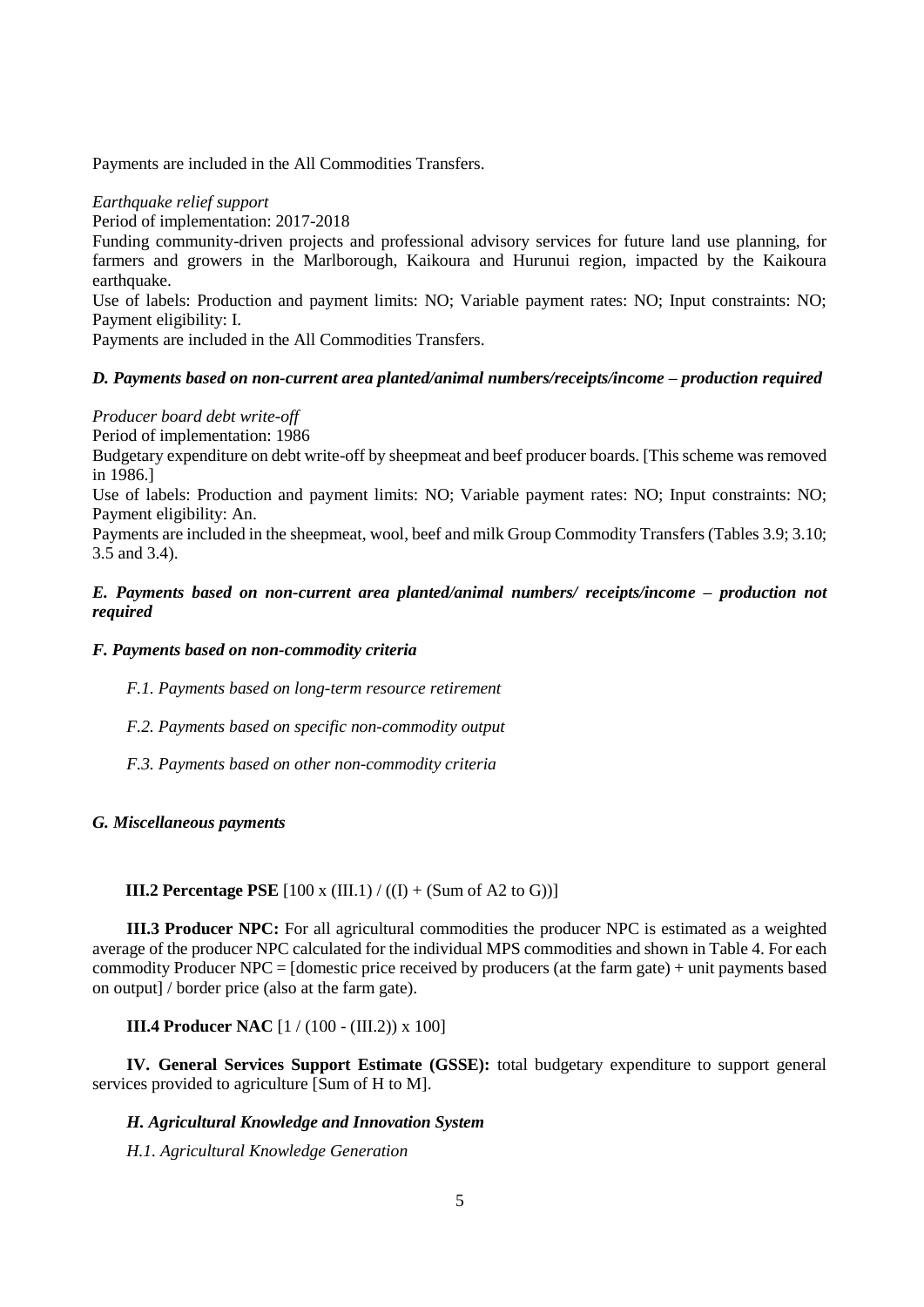Payments are included in the All Commodities Transfers.

### *Earthquake relief support*

Period of implementation: 2017-2018

Funding community-driven projects and professional advisory services for future land use planning, for farmers and growers in the Marlborough, Kaikoura and Hurunui region, impacted by the Kaikoura earthquake.

Use of labels: Production and payment limits: NO; Variable payment rates: NO; Input constraints: NO; Payment eligibility: I.

Payments are included in the All Commodities Transfers.

## *D. Payments based on non-current area planted/animal numbers/receipts/income – production required*

*Producer board debt write-off*

Period of implementation: 1986

Budgetary expenditure on debt write-off by sheepmeat and beef producer boards. [This scheme was removed in 1986.]

Use of labels: Production and payment limits: NO; Variable payment rates: NO; Input constraints: NO; Payment eligibility: An.

Payments are included in the sheepmeat, wool, beef and milk Group Commodity Transfers (Tables 3.9; 3.10; 3.5 and 3.4).

## *E. Payments based on non-current area planted/animal numbers/ receipts/income – production not required*

### *F. Payments based on non-commodity criteria*

*F.1. Payments based on long-term resource retirement*

*F.2. Payments based on specific non-commodity output*

*F.3. Payments based on other non-commodity criteria*

#### *G. Miscellaneous payments*

### **III.2 Percentage PSE**  $[100 \times (III.1) / ((I) + (Sum of A2 to G))]$

**III.3 Producer NPC:** For all agricultural commodities the producer NPC is estimated as a weighted average of the producer NPC calculated for the individual MPS commodities and shown in Table 4. For each commodity Producer NPC = [domestic price received by producers (at the farm gate) + unit payments based on output] / border price (also at the farm gate).

**III.4 Producer NAC** [1 / (100 - (III.2)) x 100]

**IV. General Services Support Estimate (GSSE):** total budgetary expenditure to support general services provided to agriculture [Sum of H to M].

### *H. Agricultural Knowledge and Innovation System*

*H.1. Agricultural Knowledge Generation*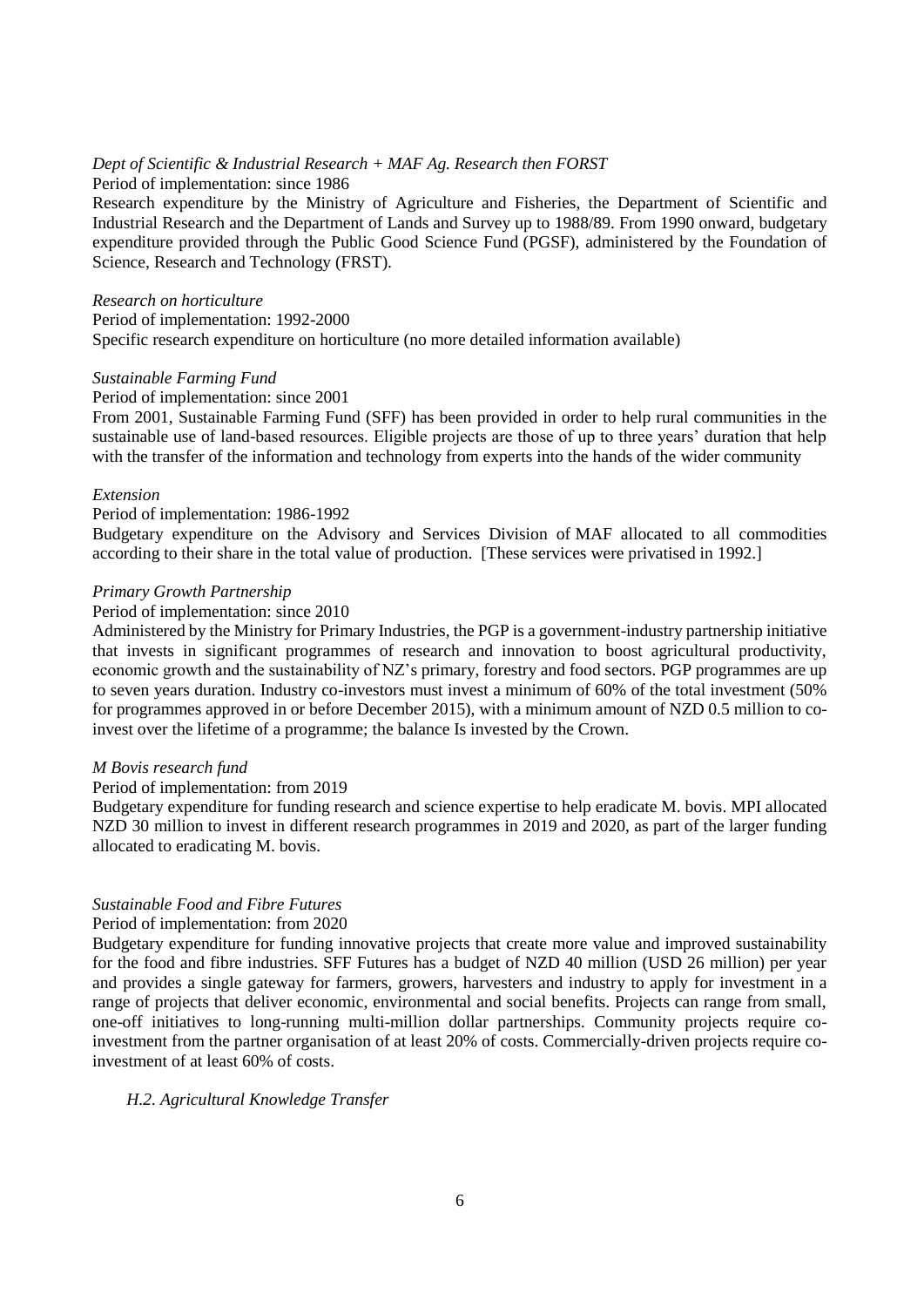## *Dept of Scientific & Industrial Research + MAF Ag. Research then FORST*

Period of implementation: since 1986

Research expenditure by the Ministry of Agriculture and Fisheries, the Department of Scientific and Industrial Research and the Department of Lands and Survey up to 1988/89. From 1990 onward, budgetary expenditure provided through the Public Good Science Fund (PGSF), administered by the Foundation of Science, Research and Technology (FRST).

### *Research on horticulture*

Period of implementation: 1992-2000 Specific research expenditure on horticulture (no more detailed information available)

## *Sustainable Farming Fund*

#### Period of implementation: since 2001

From 2001, Sustainable Farming Fund (SFF) has been provided in order to help rural communities in the sustainable use of land-based resources. Eligible projects are those of up to three years' duration that help with the transfer of the information and technology from experts into the hands of the wider community

## *Extension*

#### Period of implementation: 1986-1992

Budgetary expenditure on the Advisory and Services Division of MAF allocated to all commodities according to their share in the total value of production. [These services were privatised in 1992.]

### *Primary Growth Partnership*

#### Period of implementation: since 2010

Administered by the Ministry for Primary Industries, the PGP is a government-industry partnership initiative that invests in significant programmes of research and innovation to boost agricultural productivity, economic growth and the sustainability of NZ's primary, forestry and food sectors. PGP programmes are up to seven years duration. Industry co-investors must invest a minimum of 60% of the total investment (50% for programmes approved in or before December 2015), with a minimum amount of NZD 0.5 million to coinvest over the lifetime of a programme; the balance Is invested by the Crown.

## *M Bovis research fund*

#### Period of implementation: from 2019

Budgetary expenditure for funding research and science expertise to help eradicate M. bovis. MPI allocated NZD 30 million to invest in different research programmes in 2019 and 2020, as part of the larger funding allocated to eradicating M. bovis.

## *Sustainable Food and Fibre Futures*

#### Period of implementation: from 2020

Budgetary expenditure for funding innovative projects that create more value and improved sustainability for the food and fibre industries. SFF Futures has a budget of NZD 40 million (USD 26 million) per year and provides a single gateway for farmers, growers, harvesters and industry to apply for investment in a range of projects that deliver economic, environmental and social benefits. Projects can range from small, one-off initiatives to long-running multi-million dollar partnerships. Community projects require coinvestment from the partner organisation of at least 20% of costs. Commercially-driven projects require coinvestment of at least 60% of costs.

## *H.2. Agricultural Knowledge Transfer*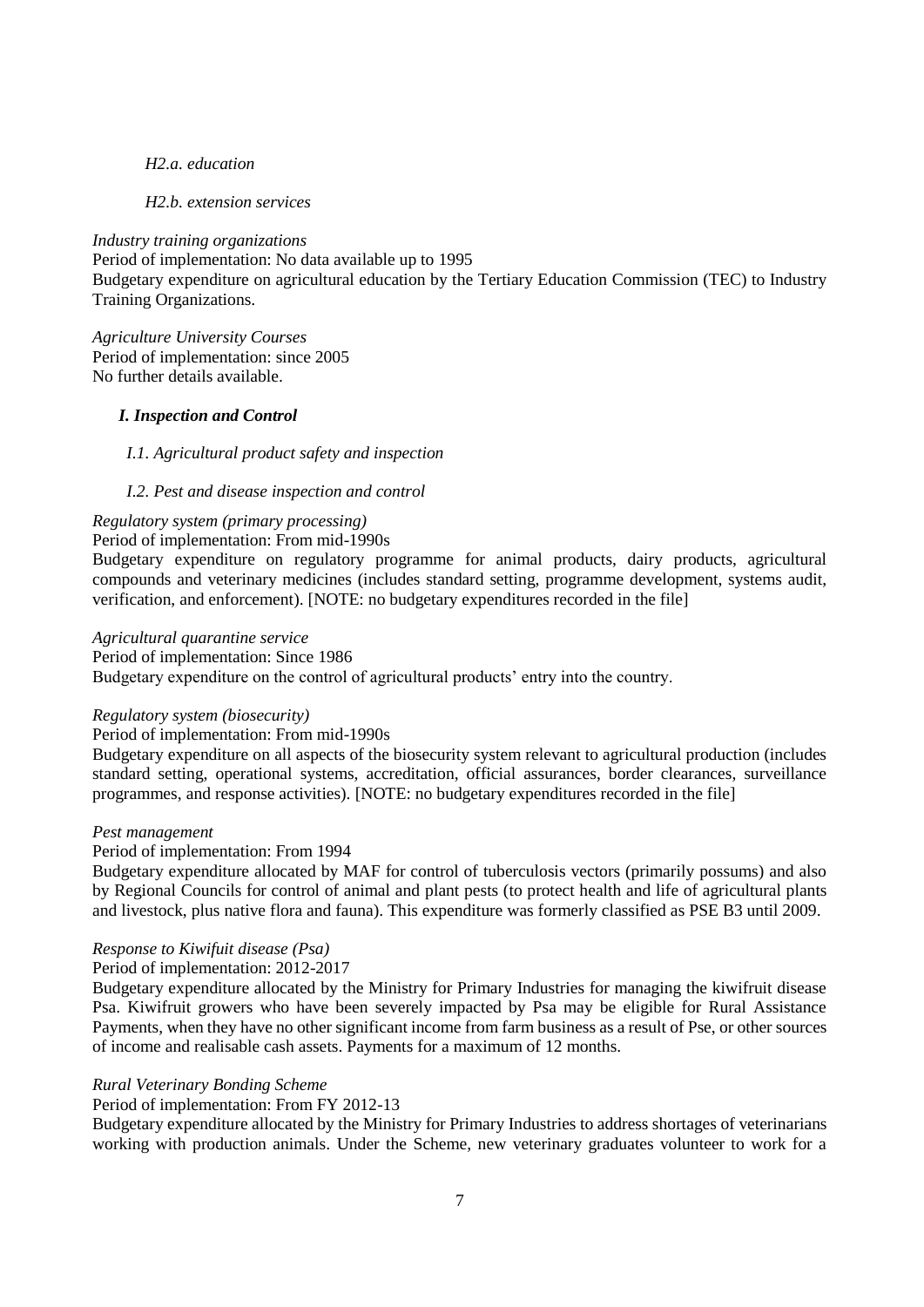#### *H2.a. education*

#### *H2.b. extension services*

*Industry training organizations* Period of implementation: No data available up to 1995 Budgetary expenditure on agricultural education by the Tertiary Education Commission (TEC) to Industry Training Organizations.

*Agriculture University Courses* Period of implementation: since 2005 No further details available.

### *I. Inspection and Control*

#### *I.1. Agricultural product safety and inspection*

#### *I.2. Pest and disease inspection and control*

## *Regulatory system (primary processing)*

## Period of implementation: From mid-1990s

Budgetary expenditure on regulatory programme for animal products, dairy products, agricultural compounds and veterinary medicines (includes standard setting, programme development, systems audit, verification, and enforcement). [NOTE: no budgetary expenditures recorded in the file]

## *Agricultural quarantine service*

### Period of implementation: Since 1986

Budgetary expenditure on the control of agricultural products' entry into the country.

#### *Regulatory system (biosecurity)*

#### Period of implementation: From mid-1990s

Budgetary expenditure on all aspects of the biosecurity system relevant to agricultural production (includes standard setting, operational systems, accreditation, official assurances, border clearances, surveillance programmes, and response activities). [NOTE: no budgetary expenditures recorded in the file]

#### *Pest management*

### Period of implementation: From 1994

Budgetary expenditure allocated by MAF for control of tuberculosis vectors (primarily possums) and also by Regional Councils for control of animal and plant pests (to protect health and life of agricultural plants and livestock, plus native flora and fauna). This expenditure was formerly classified as PSE B3 until 2009.

#### *Response to Kiwifuit disease (Psa)*

#### Period of implementation: 2012-2017

Budgetary expenditure allocated by the Ministry for Primary Industries for managing the kiwifruit disease Psa. Kiwifruit growers who have been severely impacted by Psa may be eligible for Rural Assistance Payments, when they have no other significant income from farm business as a result of Pse, or other sources of income and realisable cash assets. Payments for a maximum of 12 months.

#### *Rural Veterinary Bonding Scheme*

#### Period of implementation: From FY 2012-13

Budgetary expenditure allocated by the Ministry for Primary Industries to address shortages of veterinarians working with production animals. Under the Scheme, new veterinary graduates volunteer to work for a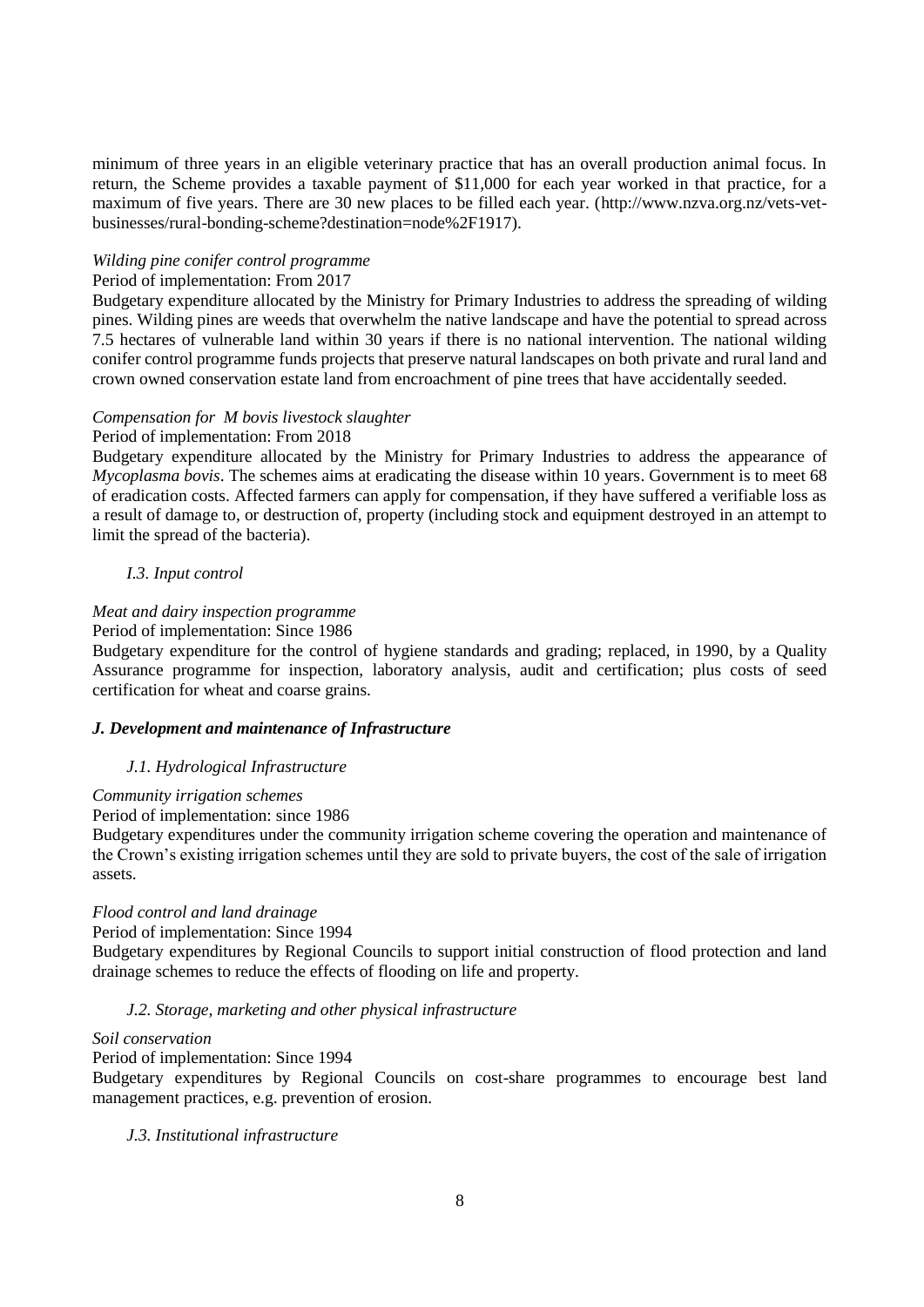minimum of three years in an eligible veterinary practice that has an overall production animal focus. In return, the Scheme provides a taxable payment of \$11,000 for each year worked in that practice, for a maximum of five years. There are 30 new places to be filled each year. [\(http://www.nzva.org.nz/vets-vet](http://www.nzva.org.nz/vets-vet-businesses/rural-bonding-scheme?destination=node%2F1917)[businesses/rural-bonding-scheme?destination=node%2F1917\)](http://www.nzva.org.nz/vets-vet-businesses/rural-bonding-scheme?destination=node%2F1917).

### *Wilding pine conifer control programme*

### Period of implementation: From 2017

Budgetary expenditure allocated by the Ministry for Primary Industries to address the spreading of wilding pines. Wilding pines are weeds that overwhelm the native landscape and have the potential to spread across 7.5 hectares of vulnerable land within 30 years if there is no national intervention. The national wilding conifer control programme funds projects that preserve natural landscapes on both private and rural land and crown owned conservation estate land from encroachment of pine trees that have accidentally seeded.

### *Compensation for M bovis livestock slaughter*

### Period of implementation: From 2018

Budgetary expenditure allocated by the Ministry for Primary Industries to address the appearance of *Mycoplasma bovis*. The schemes aims at eradicating the disease within 10 years. Government is to meet 68 of eradication costs. Affected farmers can apply for compensation, if they have suffered a verifiable loss as a result of damage to, or destruction of, property (including stock and equipment destroyed in an attempt to limit the spread of the bacteria).

### *I.3. Input control*

## *Meat and dairy inspection programme*

#### Period of implementation: Since 1986

Budgetary expenditure for the control of hygiene standards and grading; replaced, in 1990, by a Quality Assurance programme for inspection, laboratory analysis, audit and certification; plus costs of seed certification for wheat and coarse grains.

#### *J. Development and maintenance of Infrastructure*

## *J.1. Hydrological Infrastructure*

#### *Community irrigation schemes*

#### Period of implementation: since 1986

Budgetary expenditures under the community irrigation scheme covering the operation and maintenance of the Crown's existing irrigation schemes until they are sold to private buyers, the cost of the sale of irrigation assets.

#### *Flood control and land drainage*

Period of implementation: Since 1994

Budgetary expenditures by Regional Councils to support initial construction of flood protection and land drainage schemes to reduce the effects of flooding on life and property.

## *J.2. Storage, marketing and other physical infrastructure*

#### *Soil conservation*

#### Period of implementation: Since 1994

Budgetary expenditures by Regional Councils on cost-share programmes to encourage best land management practices, e.g. prevention of erosion.

#### *J.3. Institutional infrastructure*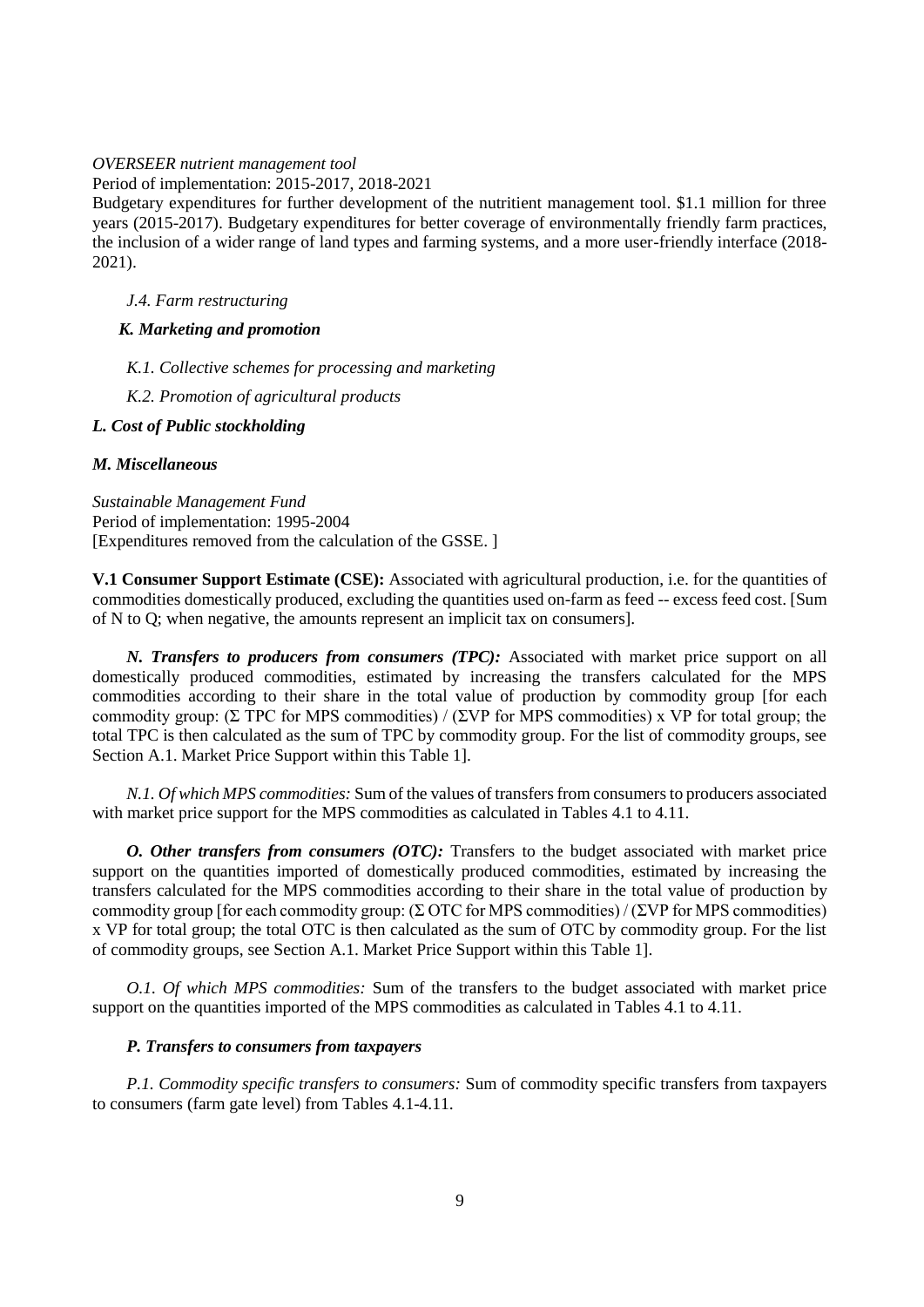#### *OVERSEER nutrient management tool*

Period of implementation: 2015-2017, 2018-2021

Budgetary expenditures for further development of the nutritient management tool. \$1.1 million for three years (2015-2017). Budgetary expenditures for better coverage of environmentally friendly farm practices, the inclusion of a wider range of land types and farming systems, and a more user-friendly interface (2018- 2021).

### *J.4. Farm restructuring*

### *K. Marketing and promotion*

- *K.1. Collective schemes for processing and marketing*
- *K.2. Promotion of agricultural products*

## *L. Cost of Public stockholding*

#### *M. Miscellaneous*

*Sustainable Management Fund* Period of implementation: 1995-2004 [Expenditures removed from the calculation of the GSSE. ]

**V.1 Consumer Support Estimate (CSE):** Associated with agricultural production, i.e. for the quantities of commodities domestically produced, excluding the quantities used on-farm as feed -- excess feed cost. [Sum of N to Q; when negative, the amounts represent an implicit tax on consumers].

*N. Transfers to producers from consumers (TPC):* Associated with market price support on all domestically produced commodities, estimated by increasing the transfers calculated for the MPS commodities according to their share in the total value of production by commodity group [for each commodity group: (Σ TPC for MPS commodities) / (ΣVP for MPS commodities) x VP for total group; the total TPC is then calculated as the sum of TPC by commodity group. For the list of commodity groups, see Section A.1. Market Price Support within this Table 1].

*N.1. Of which MPS commodities:* Sum of the values of transfers from consumers to producers associated with market price support for the MPS commodities as calculated in Tables 4.1 to 4.11.

*O. Other transfers from consumers (OTC):* Transfers to the budget associated with market price support on the quantities imported of domestically produced commodities, estimated by increasing the transfers calculated for the MPS commodities according to their share in the total value of production by commodity group [for each commodity group: ( $\Sigma$  OTC for MPS commodities) / ( $\Sigma VP$  for MPS commodities) x VP for total group; the total OTC is then calculated as the sum of OTC by commodity group. For the list of commodity groups, see Section A.1. Market Price Support within this Table 1].

*O.1. Of which MPS commodities:* Sum of the transfers to the budget associated with market price support on the quantities imported of the MPS commodities as calculated in Tables 4.1 to 4.11.

#### *P. Transfers to consumers from taxpayers*

*P.1. Commodity specific transfers to consumers:* Sum of commodity specific transfers from taxpayers to consumers (farm gate level) from Tables 4.1-4.11.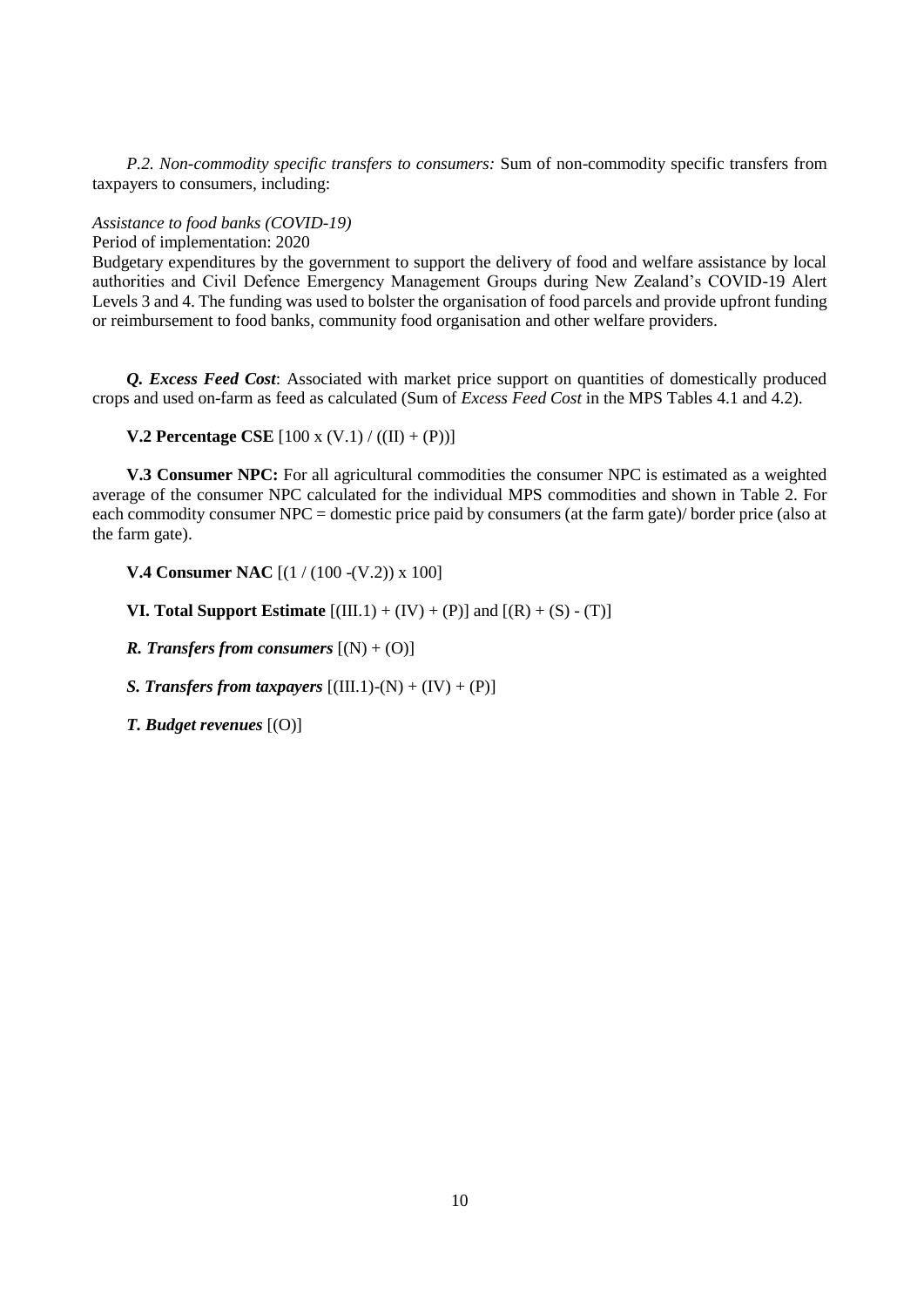*P.2. Non-commodity specific transfers to consumers:* Sum of non-commodity specific transfers from taxpayers to consumers, including:

#### *Assistance to food banks (COVID-19)*

Period of implementation: 2020

Budgetary expenditures by the government to support the delivery of food and welfare assistance by local authorities and Civil Defence Emergency Management Groups during New Zealand's COVID-19 Alert Levels 3 and 4. The funding was used to bolster the organisation of food parcels and provide upfront funding or reimbursement to food banks, community food organisation and other welfare providers.

*Q. Excess Feed Cost*: Associated with market price support on quantities of domestically produced crops and used on-farm as feed as calculated (Sum of *Excess Feed Cost* in the MPS Tables 4.1 and 4.2).

**V.2 Percentage CSE**  $[100 \times (V.1) / ((II) + (P))]$ 

**V.3 Consumer NPC:** For all agricultural commodities the consumer NPC is estimated as a weighted average of the consumer NPC calculated for the individual MPS commodities and shown in Table 2. For each commodity consumer NPC = domestic price paid by consumers (at the farm gate)/ border price (also at the farm gate).

**V.4 Consumer NAC** [(1 / (100 -(V.2)) x 100]

**VI. Total Support Estimate**  $[(III.1) + (IV) + (P)]$  and  $[(R) + (S) - (T)]$ 

*R. Transfers from consumers*  $[(N) + (O)]$ 

*S. Transfers from taxpayers*  $[(III.1)-(N) + (IV) + (P)]$ 

*T. Budget revenues* [(O)]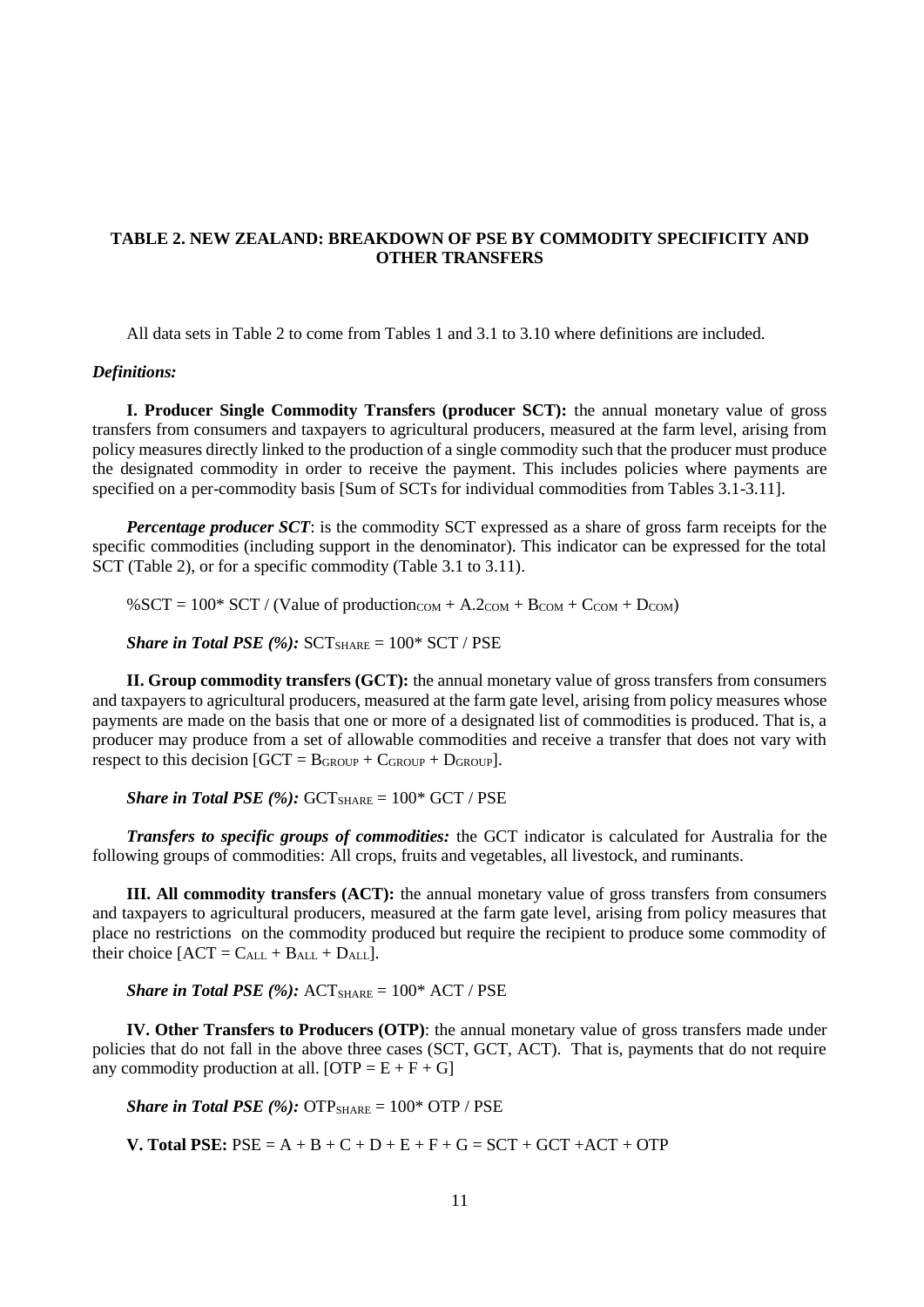## **TABLE 2. NEW ZEALAND: BREAKDOWN OF PSE BY COMMODITY SPECIFICITY AND OTHER TRANSFERS**

All data sets in Table 2 to come from Tables 1 and 3.1 to 3.10 where definitions are included.

#### *Definitions:*

**I. Producer Single Commodity Transfers (producer SCT):** the annual monetary value of gross transfers from consumers and taxpayers to agricultural producers, measured at the farm level, arising from policy measures directly linked to the production of a single commodity such that the producer must produce the designated commodity in order to receive the payment. This includes policies where payments are specified on a per-commodity basis [Sum of SCTs for individual commodities from Tables 3.1-3.11].

*Percentage producer SCT*: is the commodity SCT expressed as a share of gross farm receipts for the specific commodities (including support in the denominator). This indicator can be expressed for the total SCT (Table 2), or for a specific commodity (Table 3.1 to 3.11).

%SCT =  $100*$  SCT / (Value of production<sub>COM</sub> + A.2<sub>COM</sub> + B<sub>COM</sub> + C<sub>COM</sub> + D<sub>COM</sub>)

*Share in Total PSE (%):*  $SCT_{SHARE} = 100* SCT / PSE$ 

**II. Group commodity transfers (GCT):** the annual monetary value of gross transfers from consumers and taxpayers to agricultural producers, measured at the farm gate level, arising from policy measures whose payments are made on the basis that one or more of a designated list of commodities is produced. That is, a producer may produce from a set of allowable commodities and receive a transfer that does not vary with respect to this decision  $[GCT = B_{GROUP} + C_{GROUP} + D_{GROUP}]$ .

*Share in Total PSE* (%):  $GCT_{SHARE} = 100* GCT / PSE$ 

*Transfers to specific groups of commodities:* the GCT indicator is calculated for Australia for the following groups of commodities: All crops, fruits and vegetables, all livestock, and ruminants.

**III. All commodity transfers (ACT):** the annual monetary value of gross transfers from consumers and taxpayers to agricultural producers, measured at the farm gate level, arising from policy measures that place no restrictions on the commodity produced but require the recipient to produce some commodity of their choice  $[ACT = C<sub>ALL</sub> + B<sub>ALL</sub> + D<sub>ALL</sub>].$ 

*Share in Total PSE*  $(\%)$ :  $ACT_{SHARE} = 100^*$   $ACT / PSE$ 

**IV. Other Transfers to Producers (OTP)**: the annual monetary value of gross transfers made under policies that do not fall in the above three cases (SCT, GCT, ACT). That is, payments that do not require any commodity production at all.  $[OTP = E + F + G]$ 

*Share in Total PSE (%):*  $\text{OTP}_{\text{SHARE}} = 100^* \text{ OTP} / \text{PSE}$ 

**V. Total PSE:**  $PSE = A + B + C + D + E + F + G = SCT + GCT + ACT + OTP$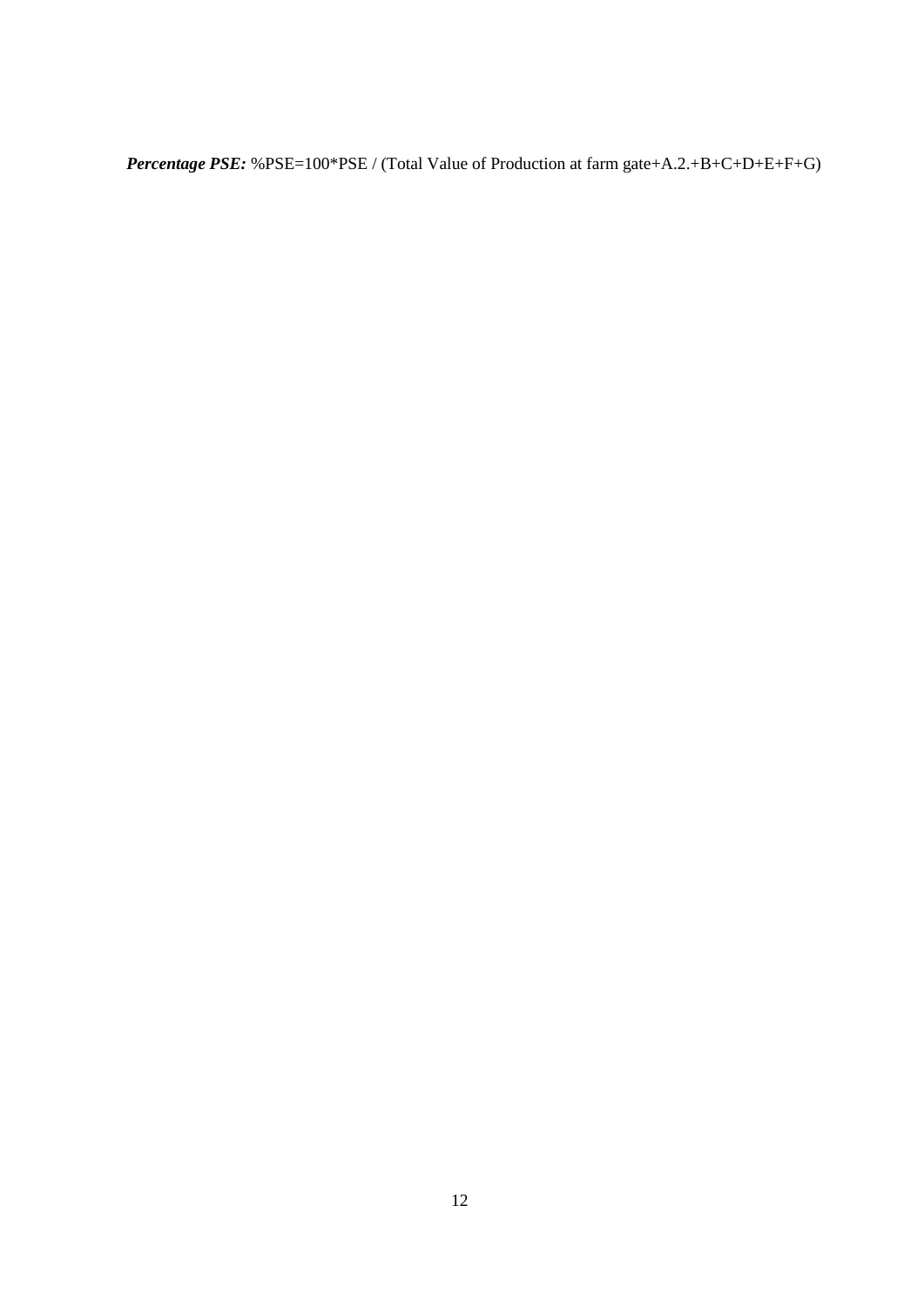*Percentage PSE:* %PSE=100\*PSE / (Total Value of Production at farm gate+A.2.+B+C+D+E+F+G)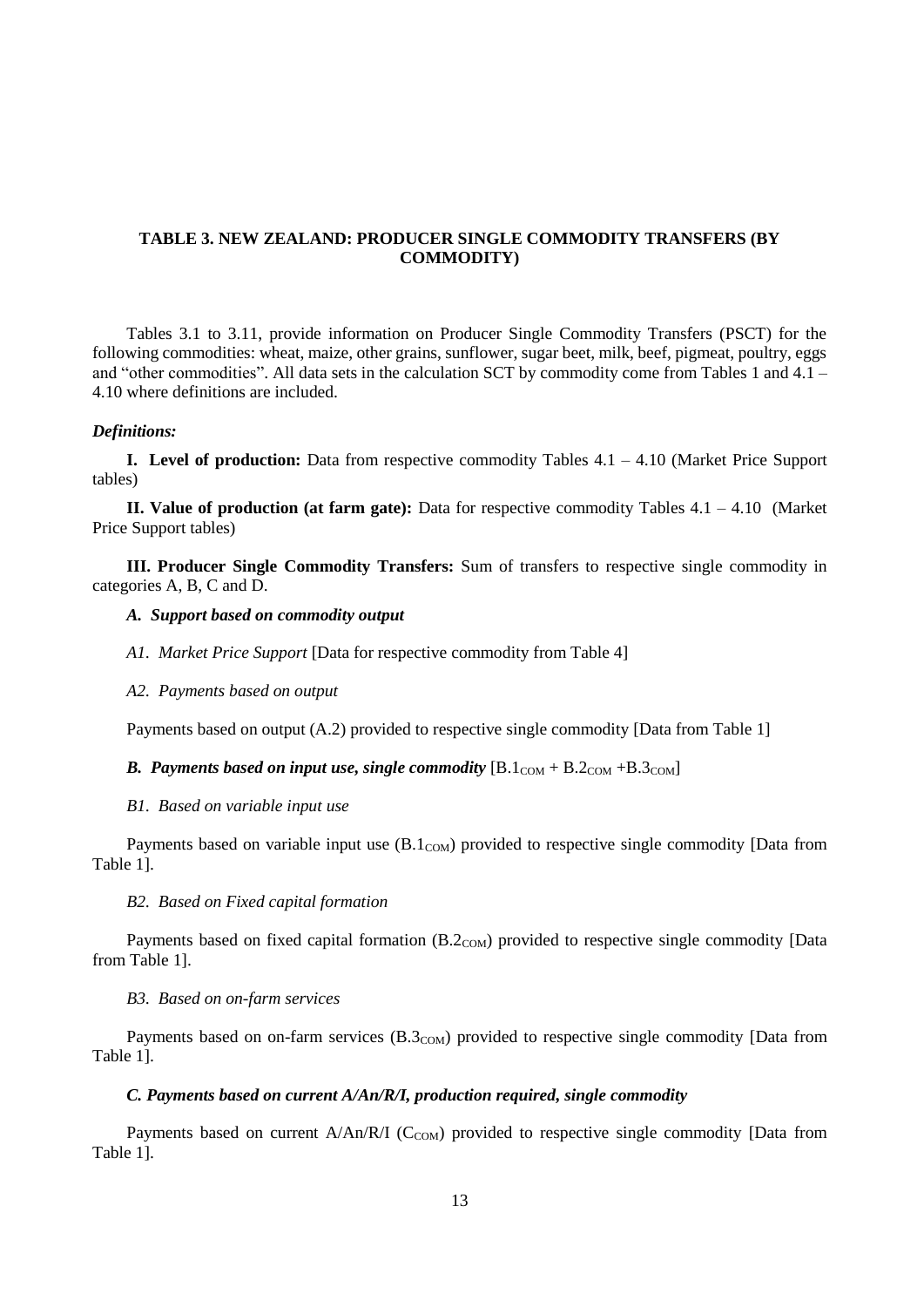## **TABLE 3. NEW ZEALAND: PRODUCER SINGLE COMMODITY TRANSFERS (BY COMMODITY)**

Tables 3.1 to 3.11, provide information on Producer Single Commodity Transfers (PSCT) for the following commodities: wheat, maize, other grains, sunflower, sugar beet, milk, beef, pigmeat, poultry, eggs and "other commodities". All data sets in the calculation SCT by commodity come from Tables 1 and 4.1 – 4.10 where definitions are included.

#### *Definitions:*

**I. Level of production:** Data from respective commodity Tables 4.1 – 4.10 (Market Price Support tables)

**II. Value of production (at farm gate):** Data for respective commodity Tables 4.1 – 4.10 (Market Price Support tables)

**III. Producer Single Commodity Transfers:** Sum of transfers to respective single commodity in categories A, B, C and D.

#### *A. Support based on commodity output*

*A1. Market Price Support* [Data for respective commodity from Table 4]

*A2. Payments based on output* 

Payments based on output (A.2) provided to respective single commodity [Data from Table 1]

*B. Payments based on input use, single commodity*  $[B.1_{COM} + B.2_{COM} + B.3_{COM}]$ 

#### *B1. Based on variable input use*

Payments based on variable input use  $(B.1_{COM})$  provided to respective single commodity [Data from Table 1].

#### *B2. Based on Fixed capital formation*

Payments based on fixed capital formation (B.2<sub>COM</sub>) provided to respective single commodity [Data from Table 1].

#### *B3. Based on on-farm services*

Payments based on on-farm services  $(B.3_{COM})$  provided to respective single commodity [Data from Table 1].

### *C. Payments based on current A/An/R/I, production required, single commodity*

Payments based on current  $A/An/R/I$  (C<sub>COM</sub>) provided to respective single commodity [Data from Table 1].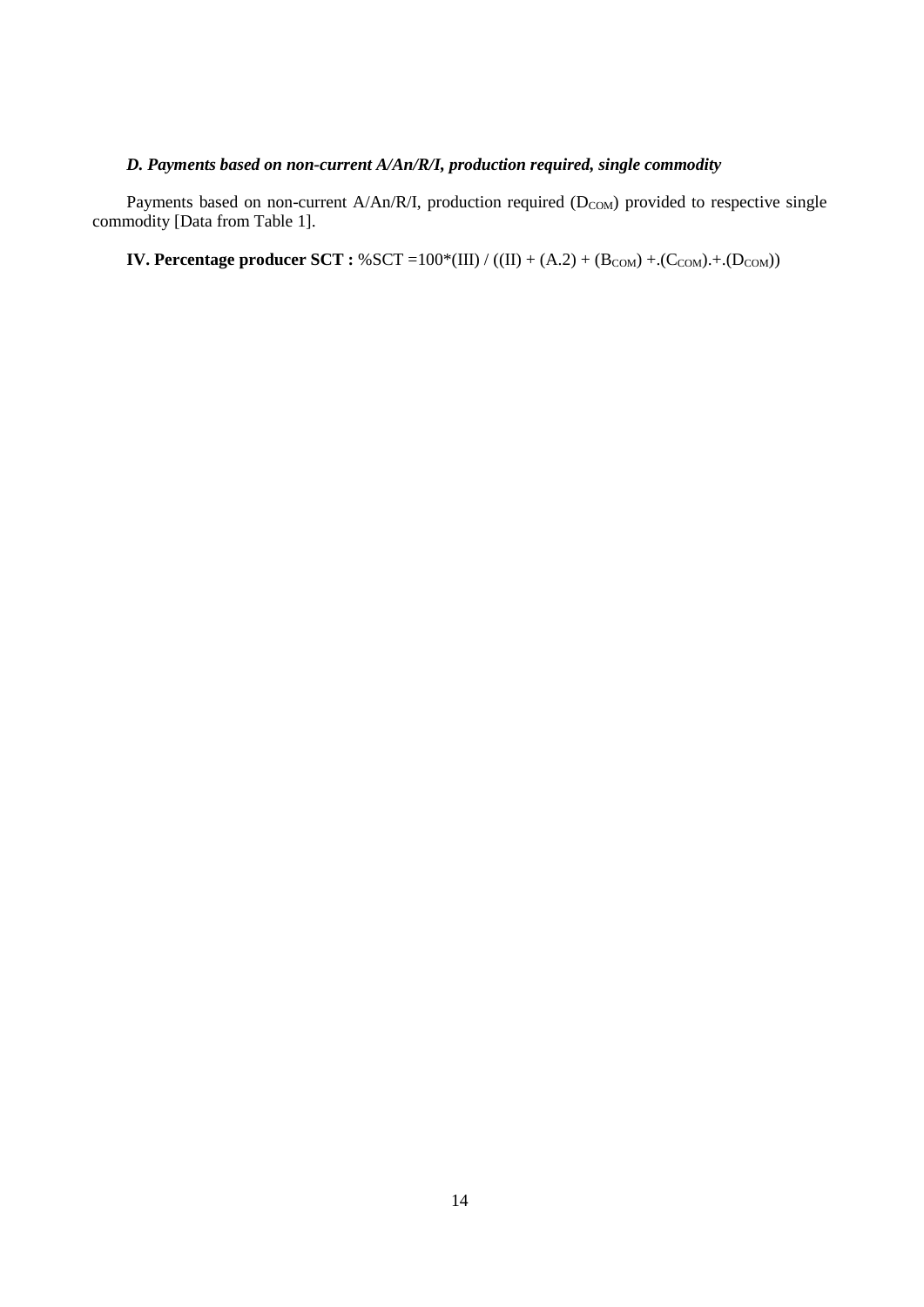## *D. Payments based on non-current A/An/R/I, production required, single commodity*

Payments based on non-current A/An/R/I, production required  $(D_{COM})$  provided to respective single commodity [Data from Table 1].

**IV. Percentage producer SCT** :  $%$  SCT =100 $*(III) / ((II) + (A.2) + (B_{COM}) + (C_{COM}) + (D_{COM}))$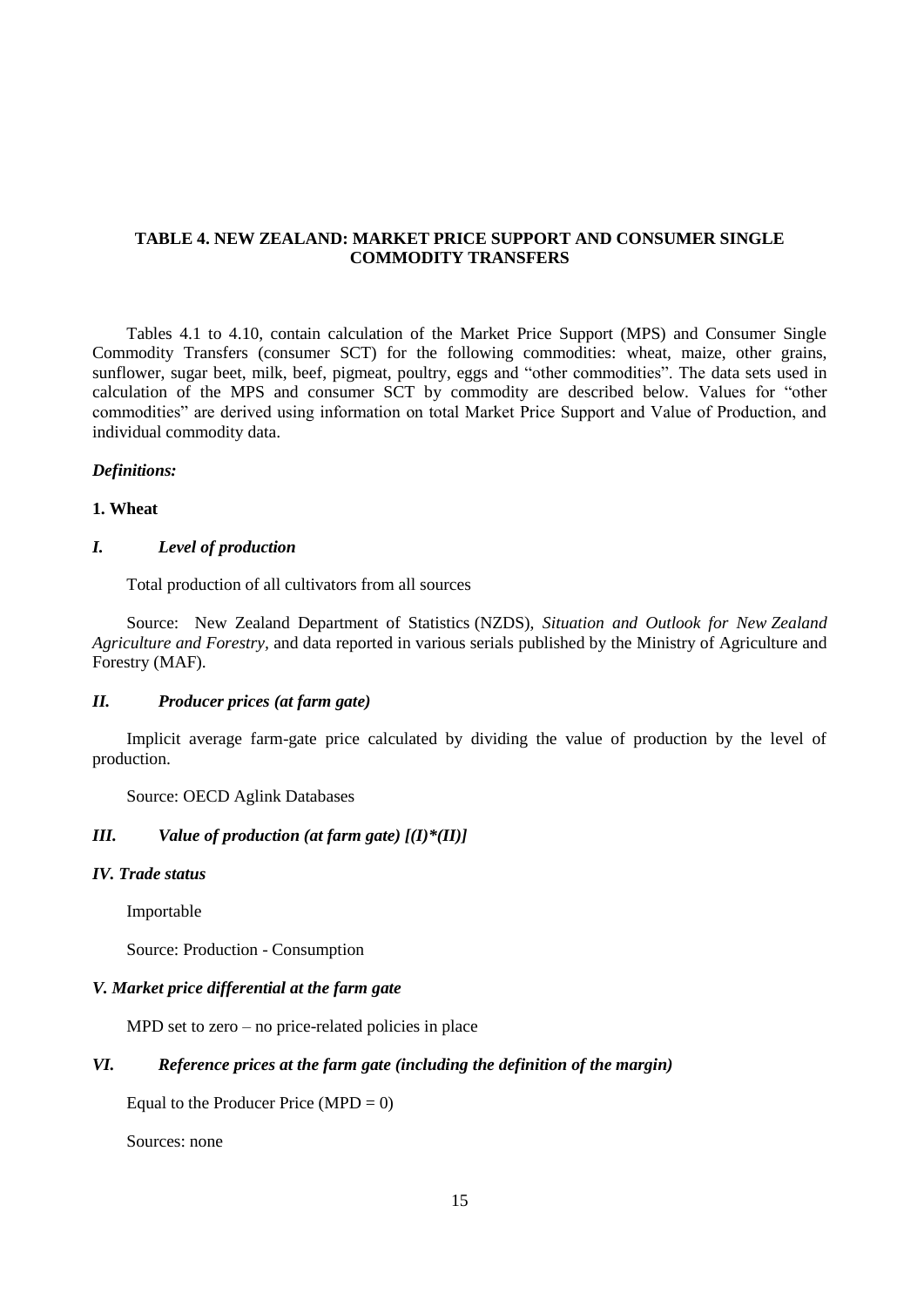### **TABLE 4. NEW ZEALAND: MARKET PRICE SUPPORT AND CONSUMER SINGLE COMMODITY TRANSFERS**

Tables 4.1 to 4.10, contain calculation of the Market Price Support (MPS) and Consumer Single Commodity Transfers (consumer SCT) for the following commodities: wheat, maize, other grains, sunflower, sugar beet, milk, beef, pigmeat, poultry, eggs and "other commodities". The data sets used in calculation of the MPS and consumer SCT by commodity are described below. Values for "other commodities" are derived using information on total Market Price Support and Value of Production, and individual commodity data.

#### *Definitions:*

#### **1. Wheat**

### *I. Level of production*

Total production of all cultivators from all sources

Source: New Zealand Department of Statistics (NZDS), *Situation and Outlook for New Zealand Agriculture and Forestry,* and data reported in various serials published by the Ministry of Agriculture and Forestry (MAF).

#### *II. Producer prices (at farm gate)*

Implicit average farm-gate price calculated by dividing the value of production by the level of production.

Source: OECD Aglink Databases

## *III. Value of production (at farm gate) [(I)\*(II)]*

#### *IV. Trade status*

Importable

Source: Production - Consumption

#### *V. Market price differential at the farm gate*

MPD set to zero – no price-related policies in place

### *VI. Reference prices at the farm gate (including the definition of the margin)*

Equal to the Producer Price  $(MPD = 0)$ 

Sources: none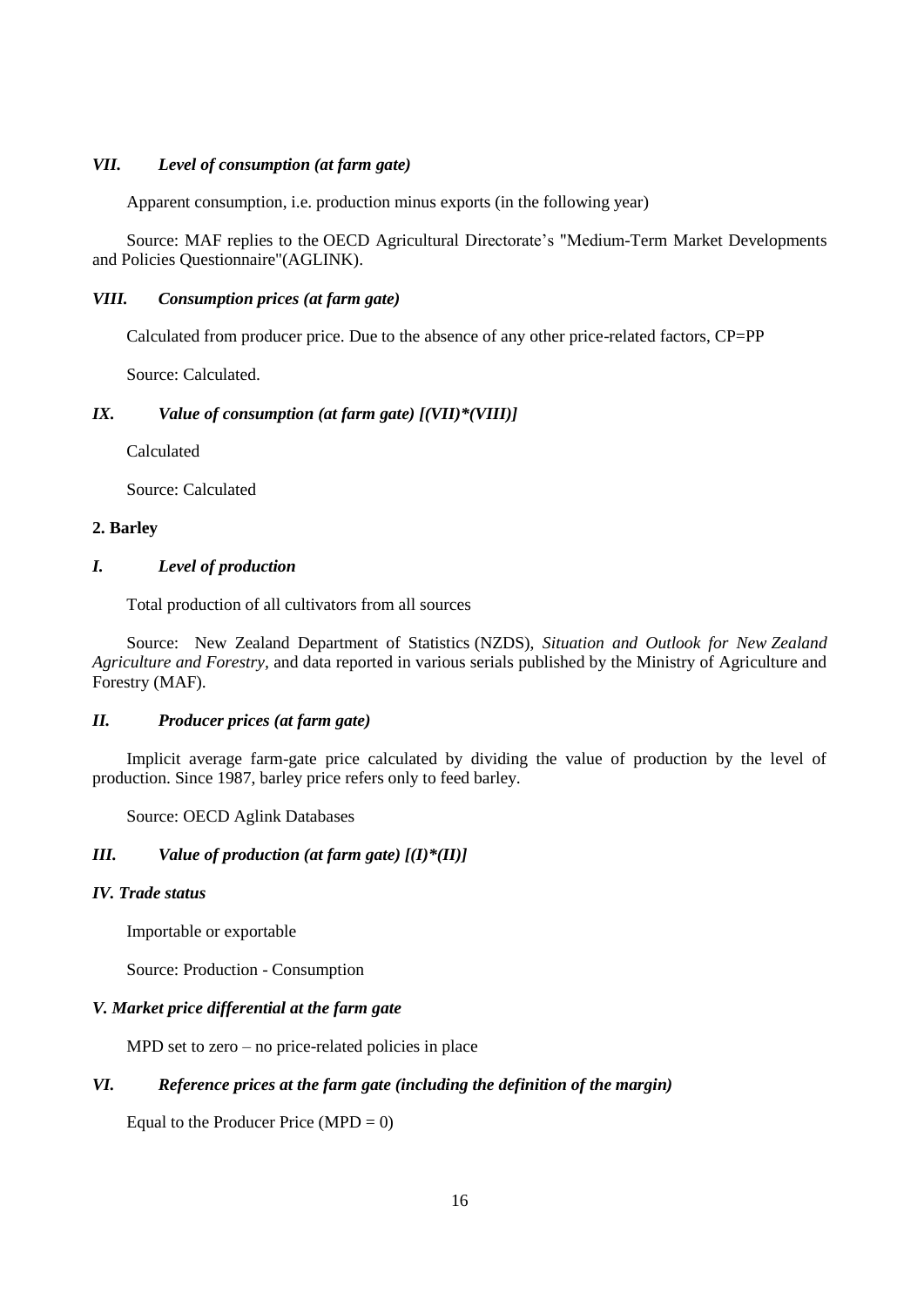### *VII. Level of consumption (at farm gate)*

Apparent consumption, i.e. production minus exports (in the following year)

Source: MAF replies to the OECD Agricultural Directorate's "Medium-Term Market Developments and Policies Questionnaire"(AGLINK).

### *VIII. Consumption prices (at farm gate)*

Calculated from producer price. Due to the absence of any other price-related factors, CP=PP

Source: Calculated.

#### *IX. Value of consumption (at farm gate) [(VII)\*(VIII)]*

Calculated

Source: Calculated

#### **2. Barley**

#### *I. Level of production*

Total production of all cultivators from all sources

Source: New Zealand Department of Statistics (NZDS), *Situation and Outlook for New Zealand Agriculture and Forestry,* and data reported in various serials published by the Ministry of Agriculture and Forestry (MAF).

## *II. Producer prices (at farm gate)*

Implicit average farm-gate price calculated by dividing the value of production by the level of production. Since 1987, barley price refers only to feed barley.

Source: OECD Aglink Databases

#### *III. Value of production (at farm gate) [(I)\*(II)]*

### *IV. Trade status*

Importable or exportable

Source: Production - Consumption

#### *V. Market price differential at the farm gate*

MPD set to zero – no price-related policies in place

## *VI. Reference prices at the farm gate (including the definition of the margin)*

Equal to the Producer Price  $(MPD = 0)$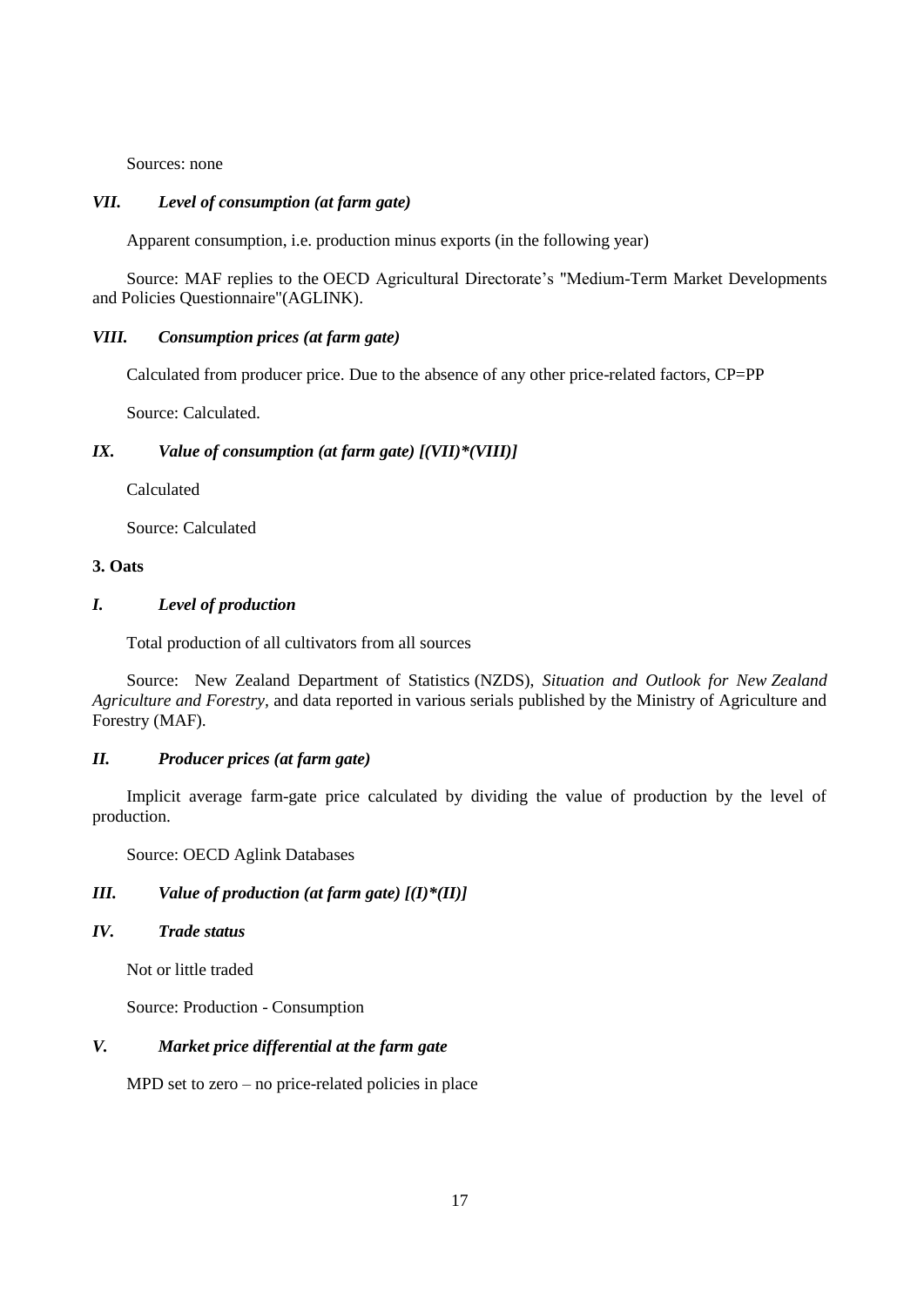Sources: none

### *VII. Level of consumption (at farm gate)*

Apparent consumption, i.e. production minus exports (in the following year)

Source: MAF replies to the OECD Agricultural Directorate's "Medium-Term Market Developments and Policies Questionnaire"(AGLINK).

### *VIII. Consumption prices (at farm gate)*

Calculated from producer price. Due to the absence of any other price-related factors, CP=PP

Source: Calculated.

## *IX. Value of consumption (at farm gate) [(VII)\*(VIII)]*

Calculated

Source: Calculated

### **3. Oats**

## *I. Level of production*

Total production of all cultivators from all sources

Source: New Zealand Department of Statistics (NZDS), *Situation and Outlook for New Zealand Agriculture and Forestry,* and data reported in various serials published by the Ministry of Agriculture and Forestry (MAF).

## *II. Producer prices (at farm gate)*

Implicit average farm-gate price calculated by dividing the value of production by the level of production.

Source: OECD Aglink Databases

## *III. Value of production (at farm gate) [(I)\*(II)]*

*IV. Trade status*

Not or little traded

Source: Production - Consumption

## *V. Market price differential at the farm gate*

MPD set to zero – no price-related policies in place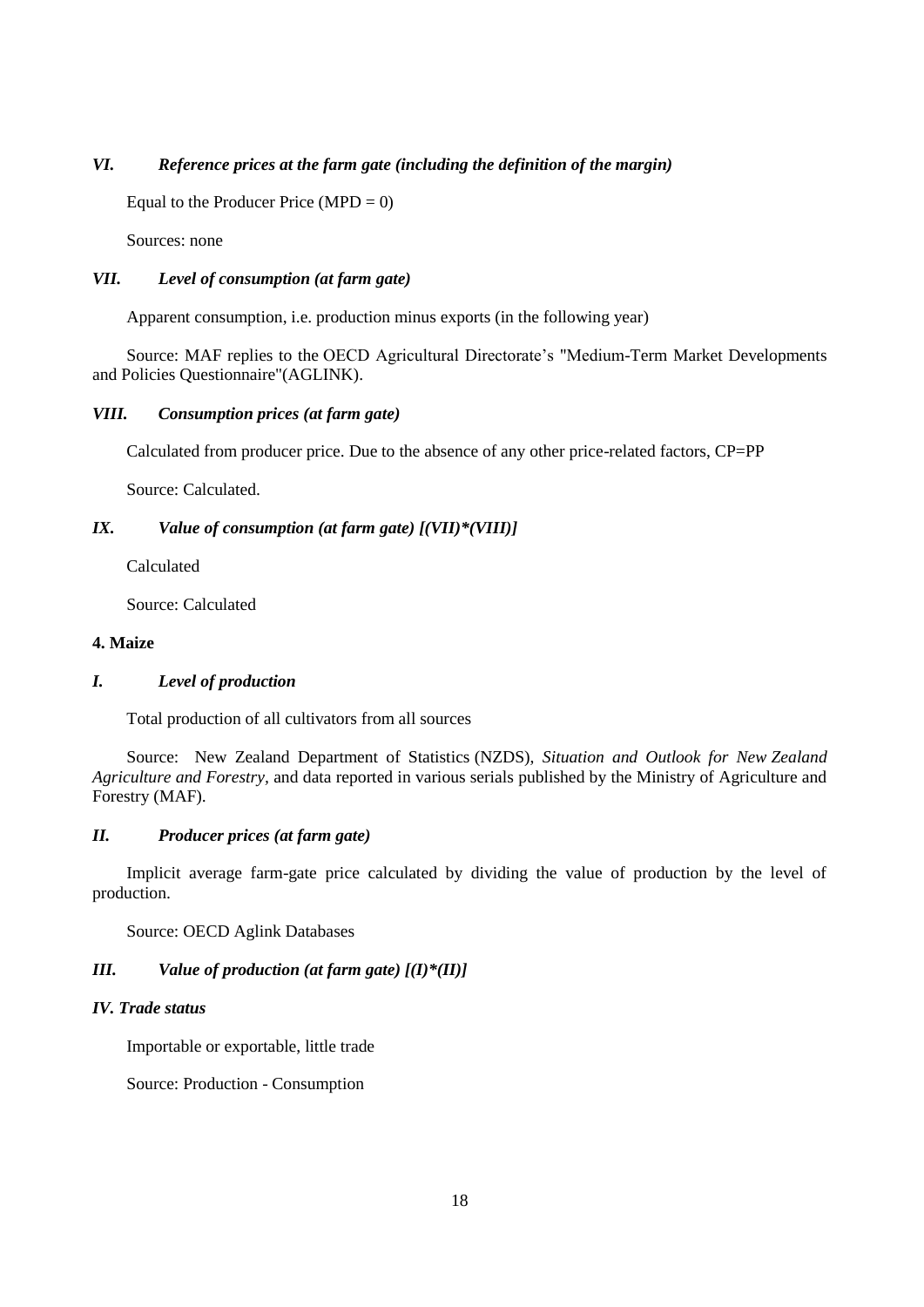## *VI. Reference prices at the farm gate (including the definition of the margin)*

Equal to the Producer Price (MPD  $= 0$ )

Sources: none

## *VII. Level of consumption (at farm gate)*

Apparent consumption, i.e. production minus exports (in the following year)

Source: MAF replies to the OECD Agricultural Directorate's "Medium-Term Market Developments and Policies Questionnaire"(AGLINK).

### *VIII. Consumption prices (at farm gate)*

Calculated from producer price. Due to the absence of any other price-related factors, CP=PP

Source: Calculated.

## *IX. Value of consumption (at farm gate) [(VII)\*(VIII)]*

Calculated

Source: Calculated

## **4. Maize**

## *I. Level of production*

Total production of all cultivators from all sources

Source: New Zealand Department of Statistics (NZDS), *Situation and Outlook for New Zealand Agriculture and Forestry,* and data reported in various serials published by the Ministry of Agriculture and Forestry (MAF).

## *II. Producer prices (at farm gate)*

Implicit average farm-gate price calculated by dividing the value of production by the level of production.

Source: OECD Aglink Databases

## *III. Value of production (at farm gate) [(I)\*(II)]*

#### *IV. Trade status*

Importable or exportable, little trade

Source: Production - Consumption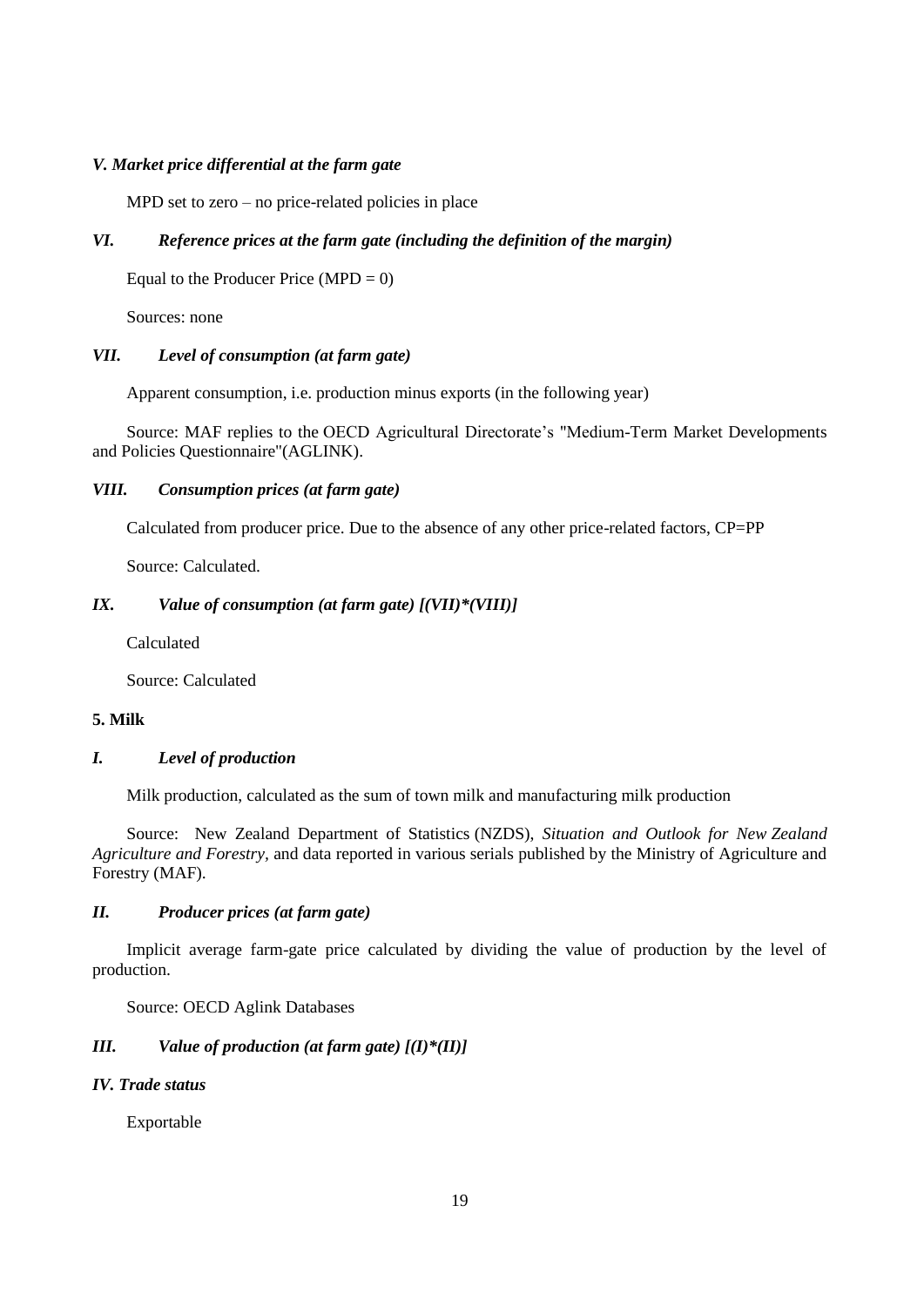### *V. Market price differential at the farm gate*

MPD set to zero – no price-related policies in place

## *VI. Reference prices at the farm gate (including the definition of the margin)*

Equal to the Producer Price  $(MPD = 0)$ 

Sources: none

### *VII. Level of consumption (at farm gate)*

Apparent consumption, i.e. production minus exports (in the following year)

Source: MAF replies to the OECD Agricultural Directorate's "Medium-Term Market Developments and Policies Questionnaire"(AGLINK).

#### *VIII. Consumption prices (at farm gate)*

Calculated from producer price. Due to the absence of any other price-related factors, CP=PP

Source: Calculated.

## *IX. Value of consumption (at farm gate) [(VII)\*(VIII)]*

Calculated

Source: Calculated

#### **5. Milk**

### *I. Level of production*

Milk production, calculated as the sum of town milk and manufacturing milk production

Source: New Zealand Department of Statistics (NZDS), *Situation and Outlook for New Zealand Agriculture and Forestry,* and data reported in various serials published by the Ministry of Agriculture and Forestry (MAF).

### *II. Producer prices (at farm gate)*

Implicit average farm-gate price calculated by dividing the value of production by the level of production.

Source: OECD Aglink Databases

## *III. Value of production (at farm gate) [(I)\*(II)]*

### *IV. Trade status*

Exportable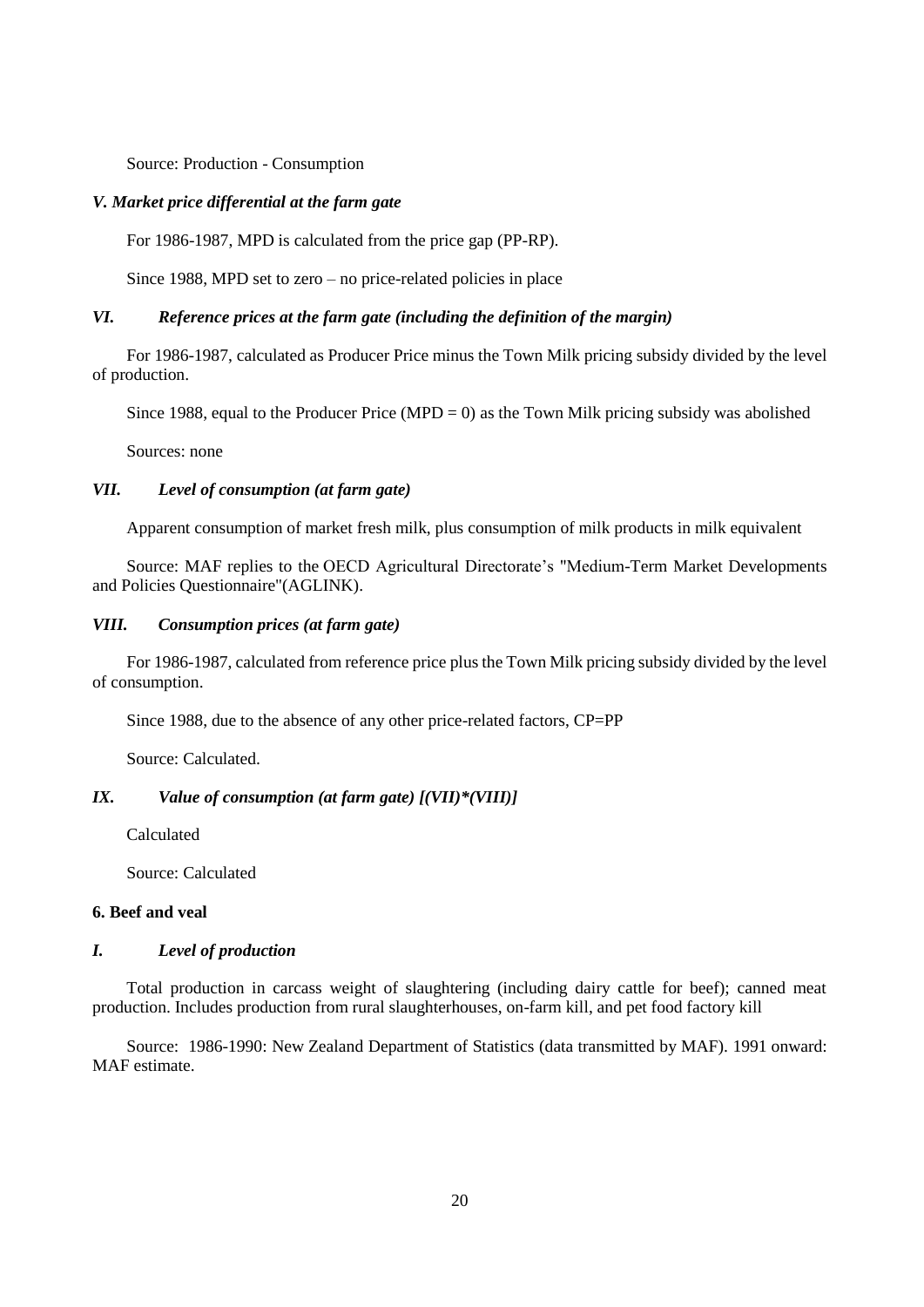Source: Production - Consumption

### *V. Market price differential at the farm gate*

For 1986-1987, MPD is calculated from the price gap (PP-RP).

Since 1988, MPD set to zero – no price-related policies in place

## *VI. Reference prices at the farm gate (including the definition of the margin)*

For 1986-1987, calculated as Producer Price minus the Town Milk pricing subsidy divided by the level of production.

Since 1988, equal to the Producer Price (MPD = 0) as the Town Milk pricing subsidy was abolished

Sources: none

### *VII. Level of consumption (at farm gate)*

Apparent consumption of market fresh milk, plus consumption of milk products in milk equivalent

Source: MAF replies to the OECD Agricultural Directorate's "Medium-Term Market Developments and Policies Questionnaire"(AGLINK).

### *VIII. Consumption prices (at farm gate)*

For 1986-1987, calculated from reference price plus the Town Milk pricing subsidy divided by the level of consumption.

Since 1988, due to the absence of any other price-related factors, CP=PP

Source: Calculated.

### *IX. Value of consumption (at farm gate) [(VII)\*(VIII)]*

Calculated

Source: Calculated

### **6. Beef and veal**

### *I. Level of production*

Total production in carcass weight of slaughtering (including dairy cattle for beef); canned meat production. Includes production from rural slaughterhouses, on-farm kill, and pet food factory kill

Source: 1986-1990: New Zealand Department of Statistics (data transmitted by MAF). 1991 onward: MAF estimate.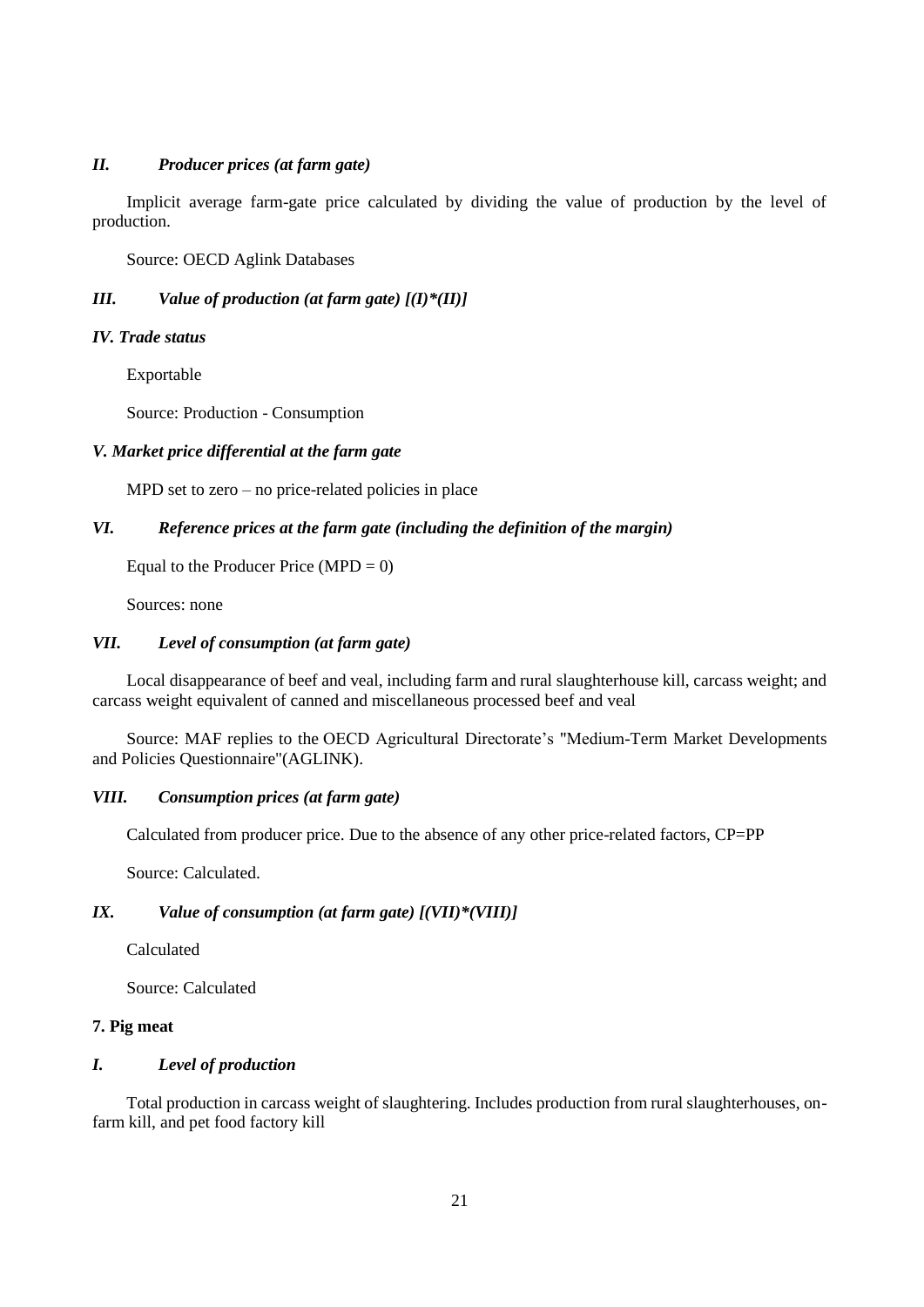### *II. Producer prices (at farm gate)*

Implicit average farm-gate price calculated by dividing the value of production by the level of production.

Source: OECD Aglink Databases

## *III. Value of production (at farm gate) [(I)\*(II)]*

#### *IV. Trade status*

Exportable

Source: Production - Consumption

### *V. Market price differential at the farm gate*

MPD set to zero – no price-related policies in place

## *VI. Reference prices at the farm gate (including the definition of the margin)*

Equal to the Producer Price  $(MPD = 0)$ 

Sources: none

### *VII. Level of consumption (at farm gate)*

Local disappearance of beef and veal, including farm and rural slaughterhouse kill, carcass weight; and carcass weight equivalent of canned and miscellaneous processed beef and veal

Source: MAF replies to the OECD Agricultural Directorate's "Medium-Term Market Developments and Policies Questionnaire"(AGLINK).

#### *VIII. Consumption prices (at farm gate)*

Calculated from producer price. Due to the absence of any other price-related factors, CP=PP

Source: Calculated.

## *IX. Value of consumption (at farm gate) [(VII)\*(VIII)]*

Calculated

Source: Calculated

## **7. Pig meat**

## *I. Level of production*

Total production in carcass weight of slaughtering. Includes production from rural slaughterhouses, onfarm kill, and pet food factory kill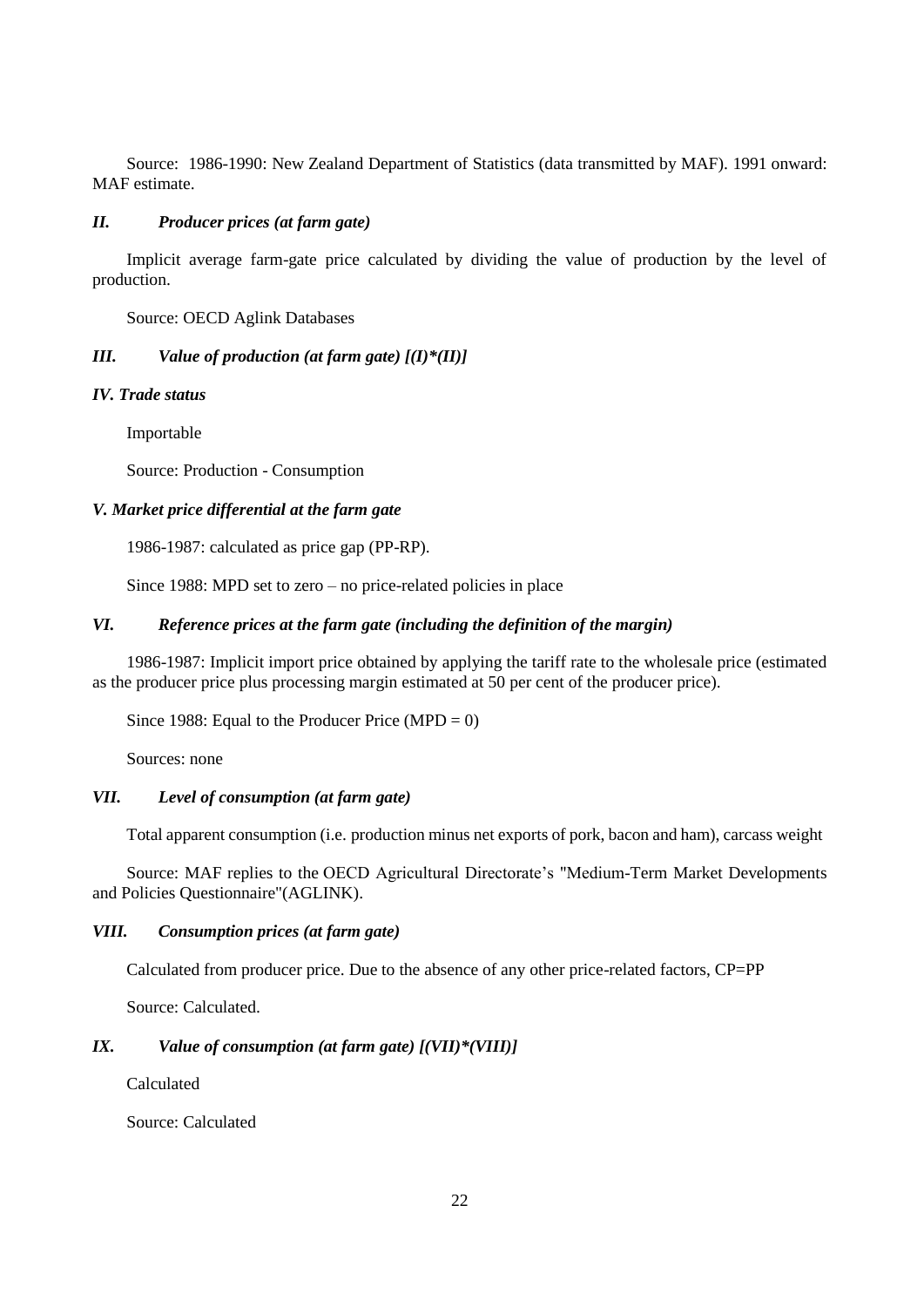Source: 1986-1990: New Zealand Department of Statistics (data transmitted by MAF). 1991 onward: MAF estimate.

#### *II. Producer prices (at farm gate)*

Implicit average farm-gate price calculated by dividing the value of production by the level of production.

Source: OECD Aglink Databases

## *III. Value of production (at farm gate) [(I)\*(II)]*

#### *IV. Trade status*

Importable

Source: Production - Consumption

#### *V. Market price differential at the farm gate*

1986-1987: calculated as price gap (PP-RP).

Since 1988: MPD set to zero – no price-related policies in place

## *VI. Reference prices at the farm gate (including the definition of the margin)*

1986-1987: Implicit import price obtained by applying the tariff rate to the wholesale price (estimated as the producer price plus processing margin estimated at 50 per cent of the producer price).

Since 1988: Equal to the Producer Price  $(MPD = 0)$ 

Sources: none

### *VII. Level of consumption (at farm gate)*

Total apparent consumption (i.e. production minus net exports of pork, bacon and ham), carcass weight

Source: MAF replies to the OECD Agricultural Directorate's "Medium-Term Market Developments and Policies Questionnaire"(AGLINK).

### *VIII. Consumption prices (at farm gate)*

Calculated from producer price. Due to the absence of any other price-related factors, CP=PP

Source: Calculated.

### *IX. Value of consumption (at farm gate) [(VII)\*(VIII)]*

Calculated

Source: Calculated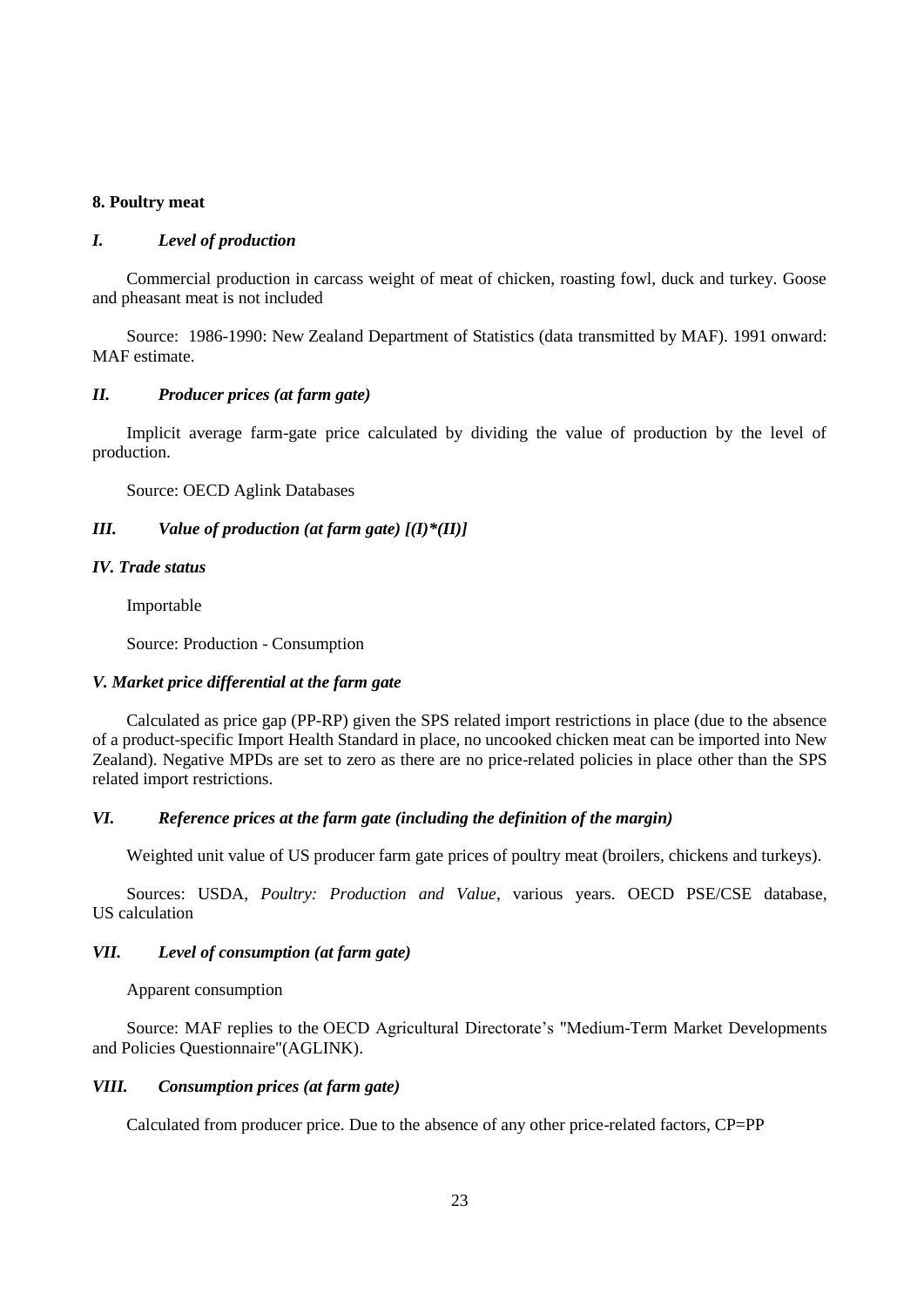## **8. Poultry meat**

#### *I. Level of production*

Commercial production in carcass weight of meat of chicken, roasting fowl, duck and turkey. Goose and pheasant meat is not included

Source: 1986-1990: New Zealand Department of Statistics (data transmitted by MAF). 1991 onward: MAF estimate.

#### *II. Producer prices (at farm gate)*

Implicit average farm-gate price calculated by dividing the value of production by the level of production.

Source: OECD Aglink Databases

## *III. Value of production (at farm gate) [(I)\*(II)]*

## *IV. Trade status*

Importable

Source: Production - Consumption

#### *V. Market price differential at the farm gate*

Calculated as price gap (PP-RP) given the SPS related import restrictions in place (due to the absence of a product-specific Import Health Standard in place, no uncooked chicken meat can be imported into New Zealand). Negative MPDs are set to zero as there are no price-related policies in place other than the SPS related import restrictions.

### *VI. Reference prices at the farm gate (including the definition of the margin)*

Weighted unit value of US producer farm gate prices of poultry meat (broilers, chickens and turkeys).

Sources: USDA, *Poultry: Production and Value*, various years. OECD PSE/CSE database, US calculation

#### *VII. Level of consumption (at farm gate)*

Apparent consumption

Source: MAF replies to the OECD Agricultural Directorate's "Medium-Term Market Developments and Policies Questionnaire"(AGLINK).

### *VIII. Consumption prices (at farm gate)*

Calculated from producer price. Due to the absence of any other price-related factors, CP=PP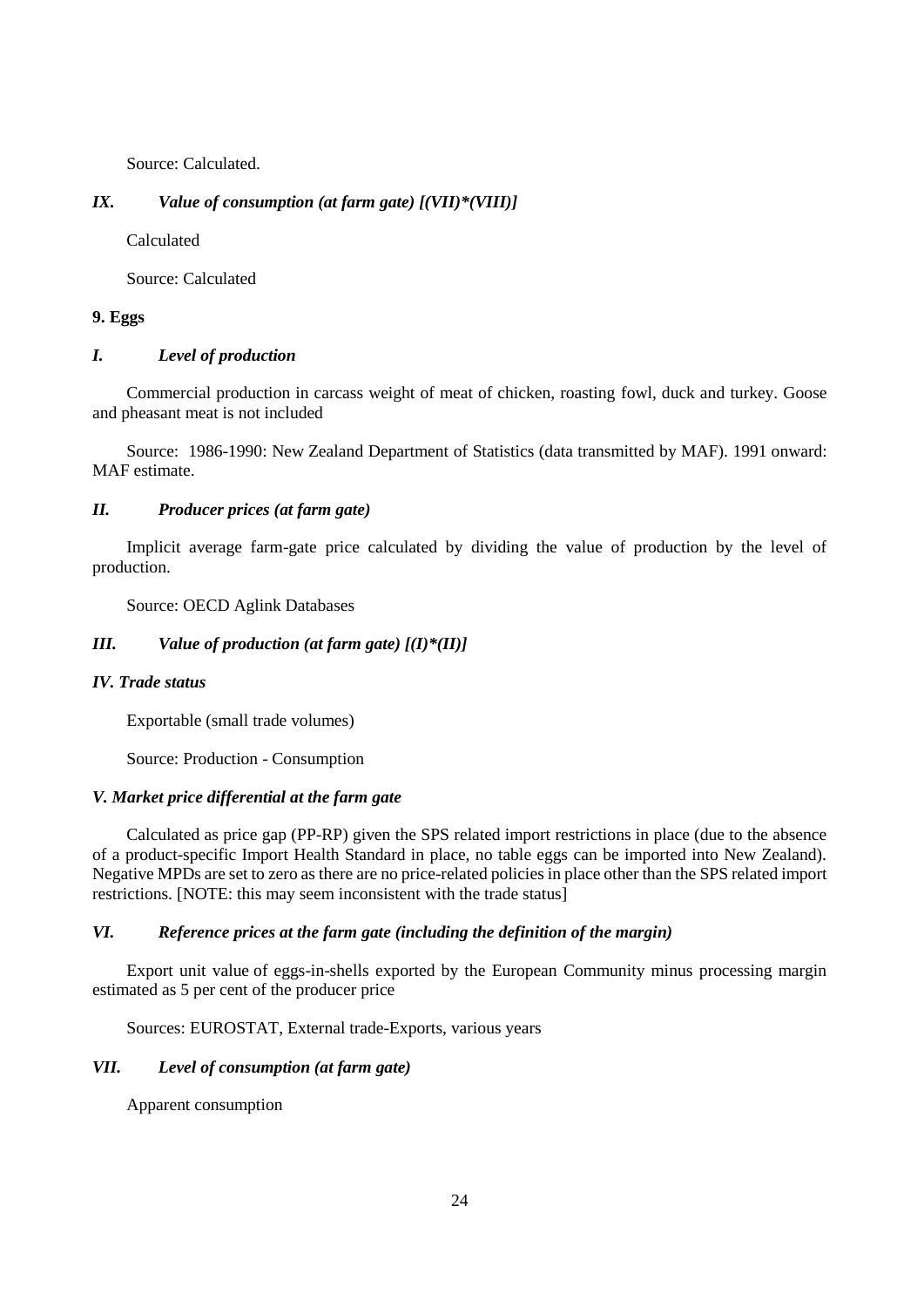Source: Calculated.

## *IX. Value of consumption (at farm gate) [(VII)\*(VIII)]*

Calculated

Source: Calculated

### **9. Eggs**

### *I. Level of production*

Commercial production in carcass weight of meat of chicken, roasting fowl, duck and turkey. Goose and pheasant meat is not included

Source: 1986-1990: New Zealand Department of Statistics (data transmitted by MAF). 1991 onward: MAF estimate.

### *II. Producer prices (at farm gate)*

Implicit average farm-gate price calculated by dividing the value of production by the level of production.

Source: OECD Aglink Databases

## *III. Value of production (at farm gate) [(I)\*(II)]*

### *IV. Trade status*

Exportable (small trade volumes)

Source: Production - Consumption

#### *V. Market price differential at the farm gate*

Calculated as price gap (PP-RP) given the SPS related import restrictions in place (due to the absence of a product-specific Import Health Standard in place, no table eggs can be imported into New Zealand). Negative MPDs are set to zero as there are no price-related policies in place other than the SPS related import restrictions. [NOTE: this may seem inconsistent with the trade status]

#### *VI. Reference prices at the farm gate (including the definition of the margin)*

Export unit value of eggs-in-shells exported by the European Community minus processing margin estimated as 5 per cent of the producer price

Sources: EUROSTAT, External trade-Exports, various years

#### *VII. Level of consumption (at farm gate)*

Apparent consumption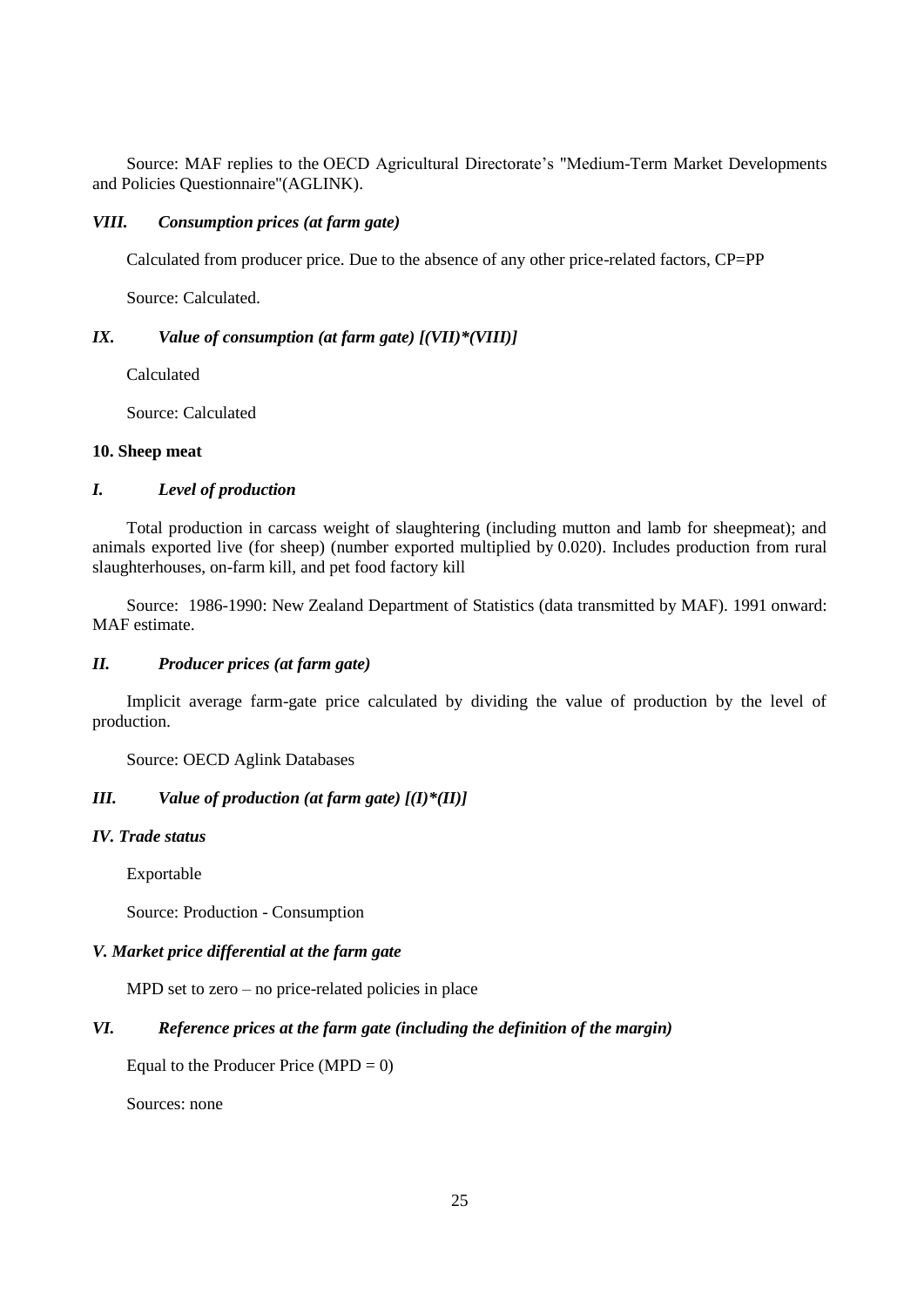Source: MAF replies to the OECD Agricultural Directorate's "Medium-Term Market Developments and Policies Questionnaire"(AGLINK).

#### *VIII. Consumption prices (at farm gate)*

Calculated from producer price. Due to the absence of any other price-related factors, CP=PP

Source: Calculated.

## *IX. Value of consumption (at farm gate) [(VII)\*(VIII)]*

Calculated

Source: Calculated

#### **10. Sheep meat**

#### *I. Level of production*

Total production in carcass weight of slaughtering (including mutton and lamb for sheepmeat); and animals exported live (for sheep) (number exported multiplied by 0.020). Includes production from rural slaughterhouses, on-farm kill, and pet food factory kill

Source: 1986-1990: New Zealand Department of Statistics (data transmitted by MAF). 1991 onward: MAF estimate.

#### *II. Producer prices (at farm gate)*

Implicit average farm-gate price calculated by dividing the value of production by the level of production.

Source: OECD Aglink Databases

## *III. Value of production (at farm gate) [(I)\*(II)]*

#### *IV. Trade status*

Exportable

Source: Production - Consumption

### *V. Market price differential at the farm gate*

MPD set to zero – no price-related policies in place

## *VI. Reference prices at the farm gate (including the definition of the margin)*

Equal to the Producer Price  $(MPD = 0)$ 

Sources: none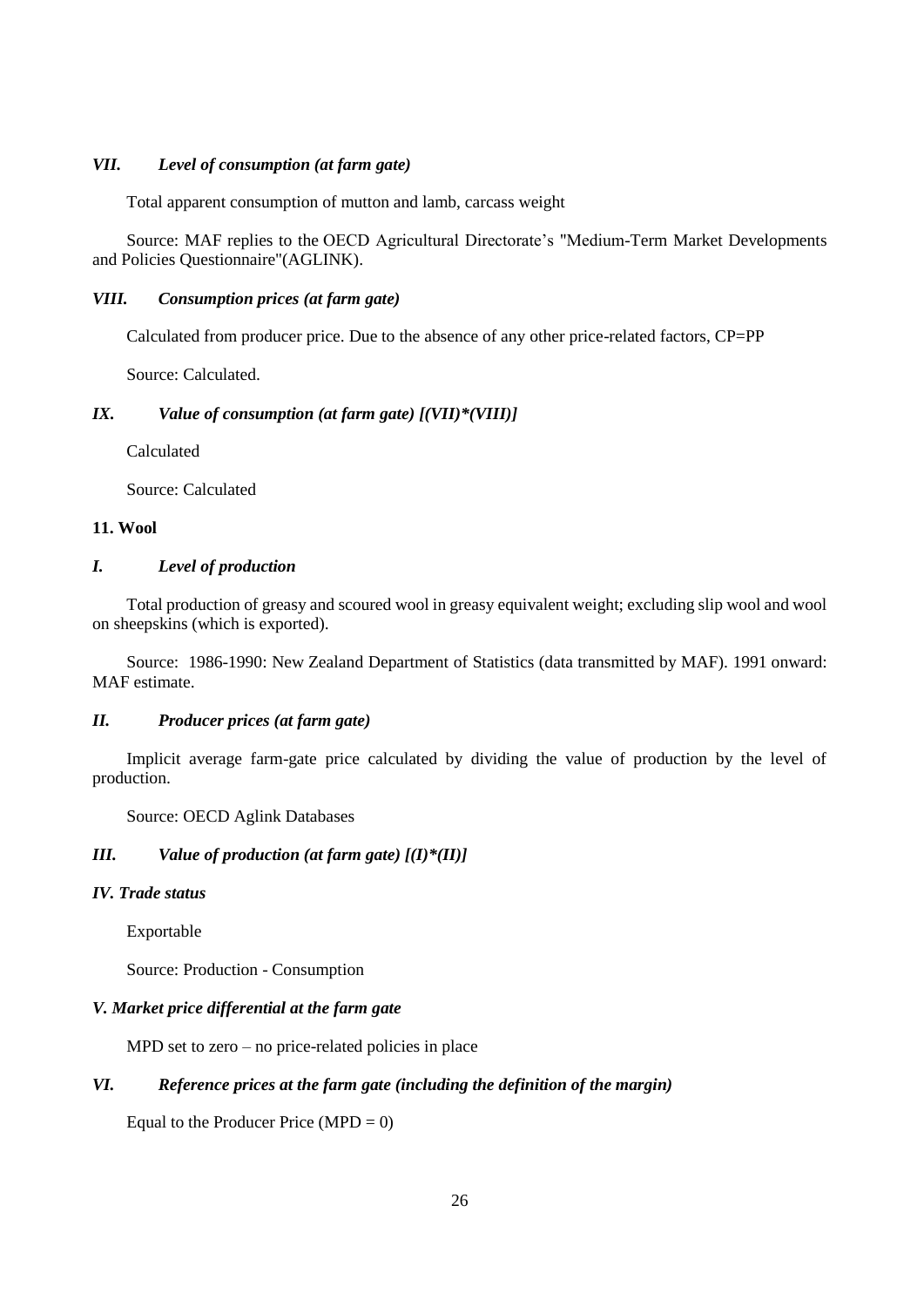### *VII. Level of consumption (at farm gate)*

Total apparent consumption of mutton and lamb, carcass weight

Source: MAF replies to the OECD Agricultural Directorate's "Medium-Term Market Developments and Policies Questionnaire"(AGLINK).

### *VIII. Consumption prices (at farm gate)*

Calculated from producer price. Due to the absence of any other price-related factors, CP=PP

Source: Calculated.

#### *IX. Value of consumption (at farm gate) [(VII)\*(VIII)]*

Calculated

Source: Calculated

### **11. Wool**

### *I. Level of production*

Total production of greasy and scoured wool in greasy equivalent weight; excluding slip wool and wool on sheepskins (which is exported).

Source: 1986-1990: New Zealand Department of Statistics (data transmitted by MAF). 1991 onward: MAF estimate.

## *II. Producer prices (at farm gate)*

Implicit average farm-gate price calculated by dividing the value of production by the level of production.

Source: OECD Aglink Databases

#### *III. Value of production (at farm gate) [(I)\*(II)]*

#### *IV. Trade status*

Exportable

Source: Production - Consumption

#### *V. Market price differential at the farm gate*

MPD set to zero – no price-related policies in place

## *VI. Reference prices at the farm gate (including the definition of the margin)*

Equal to the Producer Price  $(MPD = 0)$